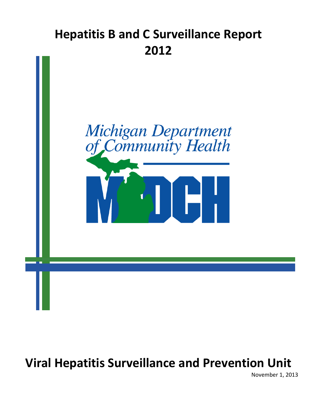# **Hepatitis B and C Surveillance Report 2012**



**Viral Hepatitis Surveillance and Prevention Unit** 

November 1, 2013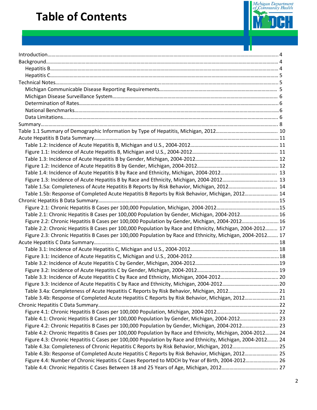# **Table of Contents**



- 11

| Table 1.5a: Completeness of Acute Hepatitis B Reports by Risk Behavior, Michigan, 2012 14                  |  |
|------------------------------------------------------------------------------------------------------------|--|
| Table 1.5b: Response of Completed Acute Hepatitis B Reports by Risk Behavior, Michigan, 2012 14            |  |
|                                                                                                            |  |
|                                                                                                            |  |
| Table 2.1: Chronic Hepatitis B Cases per 100,000 Population by Gender, Michigan, 2004-2012 16              |  |
| Figure 2.2: Chronic Hepatitis B Cases per 100,000 Population by Gender, Michigan, 2004-2012 16             |  |
| Table 2.2: Chronic Hepatitis B Cases per 100,000 Population by Race and Ethnicity, Michigan, 2004-2012 17  |  |
| Figure 2.3: Chronic Hepatitis B Cases per 100,000 Population by Race and Ethnicity, Michigan, 2004-2012 17 |  |
|                                                                                                            |  |
|                                                                                                            |  |
|                                                                                                            |  |
|                                                                                                            |  |
|                                                                                                            |  |
|                                                                                                            |  |
|                                                                                                            |  |
| Table 3.4a: Completeness of Acute Hepatitis C Reports by Risk Behavior, Michigan, 2012 21                  |  |
| Table 3.4b: Response of Completed Acute Hepatitis C Reports by Risk Behavior, Michigan, 201221             |  |
|                                                                                                            |  |
|                                                                                                            |  |
| Table 4.1: Chronic Hepatitis B Cases per 100,000 Population by Gender, Michigan, 2004-2012 23              |  |
| Figure 4.2: Chronic Hepatitis B Cases per 100,000 Population by Gender, Michigan, 2004-2012 23             |  |
| Table 4.2: Chronic Hepatitis B Cases per 100,000 Population by Race and Ethnicity, Michigan, 2004-2012 24  |  |
| Figure 4.3: Chronic Hepatitis C Cases per 100,000 Population by Race and Ethnicity, Michigan, 2004-2012 24 |  |
| Table 4.3a: Completeness of Chronic Hepatitis C Reports by Risk Behavior, Michigan, 2012 25                |  |
| Table 4.3b: Response of Completed Acute Hepatitis C Reports by Risk Behavior, Michigan, 2012 25            |  |
| Figure 4.4: Number of Chronic Hepatitis C Cases Reported to MDCH by Year of Birth, 2004-2012 26            |  |
|                                                                                                            |  |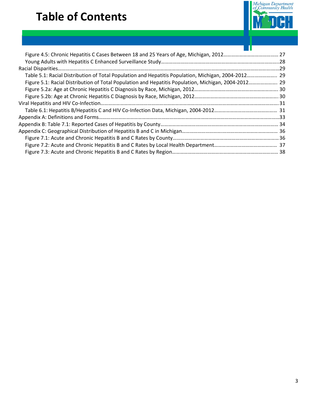# **Table of Contents**



| Table 5.1: Racial Distribution of Total Population and Hepatitis Population, Michigan, 2004-2012 29  |  |
|------------------------------------------------------------------------------------------------------|--|
| Figure 5.1: Racial Distribution of Total Population and Hepatitis Population, Michigan, 2004-2012 29 |  |
|                                                                                                      |  |
|                                                                                                      |  |
|                                                                                                      |  |
|                                                                                                      |  |
|                                                                                                      |  |
|                                                                                                      |  |
|                                                                                                      |  |
|                                                                                                      |  |
|                                                                                                      |  |
|                                                                                                      |  |
|                                                                                                      |  |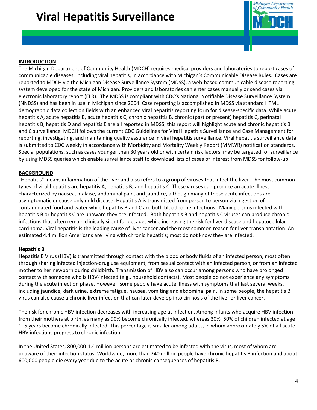# **Viral Hepatitis Surveillance**



#### **INTRODUCTION**

The Michigan Department of Community Health (MDCH) requires medical providers and laboratories to report cases of communicable diseases, including viral hepatitis, in accordance with Michigan's Communicable Disease Rules. Cases are reported to MDCH via the Michigan Disease Surveillance System (MDSS), a web-based communicable disease reporting system developed for the state of Michigan. Providers and laboratories can enter cases manually or send cases via electronic laboratory report (ELR). The MDSS is compliant with CDC's National Notifiable Disease Surveillance System (NNDSS) and has been in use in Michigan since 2004. Case reporting is accomplished in MDSS via standard HTML demographic data collection fields with an enhanced viral hepatitis reporting form for disease-specific data. While acute hepatitis A, acute hepatitis B, acute hepatitis C, chronic hepatitis B, chronic (past or present) hepatitis C, perinatal hepatitis B, hepatitis D and hepatitis E are all reported in MDSS, this report will highlight acute and chronic hepatitis B and C surveillance. MDCH follows the current CDC Guidelines for Viral Hepatitis Surveillance and Case Management for reporting, investigating, and maintaining quality assurance in viral hepatitis surveillance. Viral hepatitis surveillance data is submitted to CDC weekly in accordance with Morbidity and Mortality Weekly Report (MMWR) notification standards. Special populations, such as cases younger than 30 years old or with certain risk factors, may be targeted for surveillance by using MDSS queries which enable surveillance staff to download lists of cases of interest from MDSS for follow-up.

#### **BACKGROUND**

"Hepatitis" means inflammation of the liver and also refers to a group of viruses that infect the liver. The most common types of viral hepatitis are hepatitis A, hepatitis B, and hepatitis C. These viruses can produce an acute illness characterized by nausea, malaise, abdominal pain, and jaundice, although many of these acute infections are asymptomatic or cause only mild disease. Hepatitis A is transmitted from person to person via ingestion of contaminated food and water while hepatitis B and C are both bloodborne infections. Many persons infected with hepatitis B or hepatitis C are unaware they are infected. Both hepatitis B and hepatitis C viruses can produce chronic infections that often remain clinically silent for decades while increasing the risk for liver disease and hepatocellular carcinoma. Viral hepatitis is the leading cause of liver cancer and the most common reason for liver transplantation. An estimated 4.4 million Americans are living with chronic hepatitis; most do not know they are infected.

#### **Hepatitis B**

Hepatitis B Virus (HBV) is transmitted through contact with the blood or body fluids of an infected person, most often through sharing infected injection-drug use equipment, from sexual contact with an infected person, or from an infected mother to her newborn during childbirth. Transmission of HBV also can occur among persons who have prolonged contact with someone who is HBV-infected (e.g., household contacts). Most people do not experience any symptoms during the acute infection phase. However, some people have acute illness with symptoms that last several weeks, including jaundice, dark urine, extreme fatigue, nausea, vomiting and abdominal pain. In some people, the hepatitis B virus can also cause a chronic liver infection that can later develop into cirrhosis of the liver or liver cancer.

The risk for chronic HBV infection decreases with increasing age at infection. Among infants who acquire HBV infection from their mothers at birth, as many as 90% become chronically infected, whereas 30%–50% of children infected at age 1–5 years become chronically infected. This percentage is smaller among adults, in whom approximately 5% of all acute HBV infections progress to chronic infection.

In the United States, 800,000-1.4 million persons are estimated to be infected with the virus, most of whom are unaware of their infection status. Worldwide, more than 240 million people have chronic hepatitis B infection and about 600,000 people die every year due to the acute or chronic consequences of hepatitis B.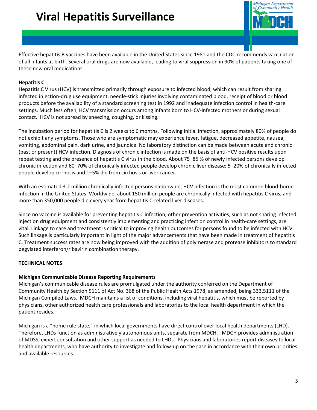# **Viral Hepatitis Surveillance**



Effective hepatitis B vaccines have been available in the United States since 1981 and the CDC recommends vaccination of all infants at birth. Several oral drugs are now available, leading to viral suppression in 90% of patients taking one of these new oral medications.

### **Hepatitis C**

Hepatitis C Virus (HCV) is transmitted primarily through exposure to infected blood, which can result from sharing infected injection-drug use equipment, needle-stick injuries involving contaminated blood, receipt of blood or blood products before the availability of a standard screening test in 1992 and inadequate infection control in health-care settings. Much less often, HCV transmission occurs among infants born to HCV-infected mothers or during sexual contact. HCV is not spread by sneezing, coughing, or kissing.

The incubation period for hepatitis C is 2 weeks to 6 months. Following initial infection, approximately 80% of people do not exhibit any symptoms. Those who are symptomatic may experience fever, fatigue, decreased appetite, nausea, vomiting, abdominal pain, dark urine, and jaundice. No laboratory distinction can be made between acute and chronic (past or present) HCV infection. Diagnosis of chronic infection is made on the basis of anti-HCV positive results upon repeat testing and the presence of hepatitis C virus in the blood. About 75–85 % of newly infected persons develop chronic infection and 60–70% of chronically infected people develop chronic liver disease; 5–20% of chronically infected people develop cirrhosis and 1–5% die from cirrhosis or liver cancer.

With an estimated 3.2 million chronically infected persons nationwide, HCV infection is the most common blood-borne infection in the United States. Worldwide, about 150 million people are chronically infected with hepatitis C virus, and more than 350,000 people die every year from hepatitis C-related liver diseases.

Since no vaccine is available for preventing hepatitis C infection, other prevention activities, such as not sharing infected injection drug equipment and consistently implementing and practicing infection control in health-care settings, are vital. Linkage to care and treatment is critical to improving health outcomes for persons found to be infected with HCV. Such linkage is particularly important in light of the major advancements that have been made in treatment of hepatitis C. Treatment success rates are now being improved with the addition of polymerase and protease inhibitors to standard pegylated interferon/ribavirin combination therapy.

#### **TECHNICAL NOTES**

#### **Michigan Communicable Disease Reporting Requirements**

Michigan's communicable disease rules are promulgated under the authority conferred on the Department of Community Health by Section 5111 of Act No. 368 of the Public Health Acts 1978, as amended, being 333.5111 of the Michigan Compiled Laws. MDCH maintains a list of conditions, including viral hepatitis, which must be reported by physicians, other authorized health care professionals and laboratories to the local health department in which the patient resides.

Michigan is a "home rule state," in which local governments have direct control over local health departments (LHD). Therefore, LHDs function as administratively autonomous units, separate from MDCH. MDCH provides administration of MDSS, expert consultation and other support as needed to LHDs. Physicians and laboratories report diseases to local health departments, who have authority to investigate and follow-up on the case in accordance with their own priorities and available resources.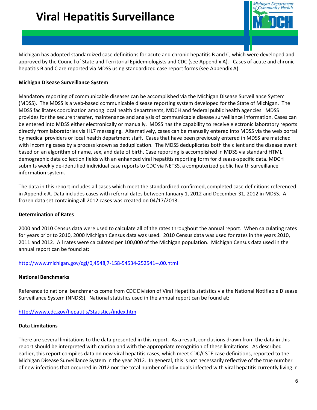

Michigan has adopted standardized case definitions for acute and chronic hepatitis B and C, which were developed and approved by the Council of State and Territorial Epidemiologists and CDC (see Appendix A). Cases of acute and chronic hepatitis B and C are reported via MDSS using standardized case report forms (see Appendix A).

#### **Michigan Disease Surveillance System**

Mandatory reporting of communicable diseases can be accomplished via the Michigan Disease Surveillance System (MDSS). The MDSS is a web-based communicable disease reporting system developed for the State of Michigan. The MDSS facilitates coordination among local health departments, MDCH and federal public health agencies. MDSS provides for the secure transfer, maintenance and analysis of communicable disease surveillance information. Cases can be entered into MDSS either electronically or manually. MDSS has the capability to receive electronic laboratory reports directly from laboratories via HL7 messaging. Alternatively, cases can be manually entered into MDSS via the web portal by medical providers or local health department staff. Cases that have been previously entered in MDSS are matched with incoming cases by a process known as deduplication. The MDSS deduplicates both the client and the disease event based on an algorithm of name, sex, and date of birth. Case reporting is accomplished in MDSS via standard HTML demographic data collection fields with an enhanced viral hepatitis reporting form for disease-specific data. MDCH submits weekly de-identified individual case reports to CDC via NETSS, a computerized public health surveillance information system.

The data in this report includes all cases which meet the standardized confirmed, completed case definitions referenced in Appendix A. Data includes cases with referral dates between January 1, 2012 and December 31, 2012 in MDSS. A frozen data set containing all 2012 cases was created on 04/17/2013.

#### **Determination of Rates**

2000 and 2010 Census data were used to calculate all of the rates throughout the annual report. When calculating rates for years prior to 2010, 2000 Michigan Census data was used. 2010 Census data was used for rates in the years 2010, 2011 and 2012. All rates were calculated per 100,000 of the Michigan population. Michigan Census data used in the annual report can be found at:

#### <http://www.michigan.gov/cgi/0,4548,7-158-54534-252541--,00.html>

#### **National Benchmarks**

Reference to national benchmarks come from CDC Division of Viral Hepatitis statistics via the National Notifiable Disease Surveillance System (NNDSS). National statistics used in the annual report can be found at:

### <http://www.cdc.gov/hepatitis/Statistics/index.htm>

#### **Data Limitations**

There are several limitations to the data presented in this report. As a result, conclusions drawn from the data in this report should be interpreted with caution and with the appropriate recognition of these limitations. As described earlier, this report compiles data on new viral hepatitis cases, which meet CDC/CSTE case definitions, reported to the Michigan Disease Surveillance System in the year 2012. In general, this is not necessarily reflective of the true number of new infections that occurred in 2012 nor the total number of individuals infected with viral hepatitis currently living in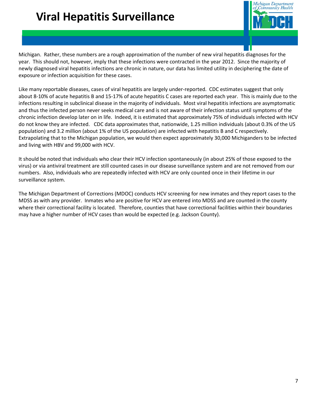# **Viral Hepatitis Surveillance**



Michigan. Rather, these numbers are a rough approximation of the number of new viral hepatitis diagnoses for the year. This should not, however, imply that these infections were contracted in the year 2012. Since the majority of newly diagnosed viral hepatitis infections are chronic in nature, our data has limited utility in deciphering the date of exposure or infection acquisition for these cases.

Like many reportable diseases, cases of viral hepatitis are largely under-reported. CDC estimates suggest that only about 8-10% of acute hepatitis B and 15-17% of acute hepatitis C cases are reported each year. This is mainly due to the infections resulting in subclinical disease in the majority of individuals. Most viral hepatitis infections are asymptomatic and thus the infected person never seeks medical care and is not aware of their infection status until symptoms of the chronic infection develop later on in life. Indeed, it is estimated that approximately 75% of individuals infected with HCV do not know they are infected. CDC data approximates that, nationwide, 1.25 million individuals (about 0.3% of the US population) and 3.2 million (about 1% of the US population) are infected with hepatitis B and C respectively. Extrapolating that to the Michigan population, we would then expect approximately 30,000 Michiganders to be infected and living with HBV and 99,000 with HCV.

It should be noted that individuals who clear their HCV infection spontaneously (in about 25% of those exposed to the virus) or via antiviral treatment are still counted cases in our disease surveillance system and are not removed from our numbers. Also, individuals who are repeatedly infected with HCV are only counted once in their lifetime in our surveillance system.

The Michigan Department of Corrections (MDOC) conducts HCV screening for new inmates and they report cases to the MDSS as with any provider. Inmates who are positive for HCV are entered into MDSS and are counted in the county where their correctional facility is located. Therefore, counties that have correctional facilities within their boundaries may have a higher number of HCV cases than would be expected (e.g. Jackson County).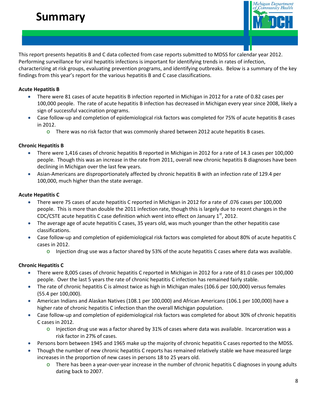# **Summary**



This report presents hepatitis B and C data collected from case reports submitted to MDSS for calendar year 2012. Performing surveillance for viral hepatitis infections is important for identifying trends in rates of infection, characterizing at risk groups, evaluating prevention programs, and identifying outbreaks. Below is a summary of the key findings from this year's report for the various hepatitis B and C case classifications.

#### **Acute Hepatitis B**

- There were 81 cases of acute hepatitis B infection reported in Michigan in 2012 for a rate of 0.82 cases per 100,000 people. The rate of acute hepatitis B infection has decreased in Michigan every year since 2008, likely a sign of successful vaccination programs.
- Case follow-up and completion of epidemiological risk factors was completed for 75% of acute hepatitis B cases in 2012.
	- $\circ$  There was no risk factor that was commonly shared between 2012 acute hepatitis B cases.

### **Chronic Hepatitis B**

- There were 1,416 cases of chronic hepatitis B reported in Michigan in 2012 for a rate of 14.3 cases per 100,000 people. Though this was an increase in the rate from 2011, overall new chronic hepatitis B diagnoses have been declining in Michigan over the last few years.
- Asian-Americans are disproportionately affected by chronic hepatitis B with an infection rate of 129.4 per 100,000, much higher than the state average.

### **Acute Hepatitis C**

- There were 75 cases of acute hepatitis C reported in Michigan in 2012 for a rate of .076 cases per 100,000 people. This is more than double the 2011 infection rate, though this is largely due to recent changes in the CDC/CSTE acute hepatitis C case definition which went into effect on January  $1<sup>st</sup>$ , 2012.
- The average age of acute hepatitis C cases, 35 years old, was much younger than the other hepatitis case classifications.
- Case follow-up and completion of epidemiological risk factors was completed for about 80% of acute hepatitis C cases in 2012.
	- $\circ$  Injection drug use was a factor shared by 53% of the acute hepatitis C cases where data was available.

### **Chronic Hepatitis C**

- There were 8,005 cases of chronic hepatitis C reported in Michigan in 2012 for a rate of 81.0 cases per 100,000 people. Over the last 5 years the rate of chronic hepatitis C infection has remained fairly stable.
- The rate of chronic hepatitis C is almost twice as high in Michigan males (106.6 per 100,000) versus females (55.4 per 100,000).
- American Indians and Alaskan Natives (108.1 per 100,000) and African Americans (106.1 per 100,000) have a higher rate of chronic hepatitis C infection than the overall Michigan population.
- Case follow-up and completion of epidemiological risk factors was completed for about 30% of chronic hepatitis C cases in 2012.
	- $\circ$  Injection drug use was a factor shared by 31% of cases where data was available. Incarceration was a risk factor in 27% of cases.
- Persons born between 1945 and 1965 make up the majority of chronic hepatitis C cases reported to the MDSS.
- Though the number of new chronic hepatitis C reports has remained relatively stable we have measured large increases in the proportion of new cases in persons 18 to 25 years old.
	- $\circ$  There has been a year-over-year increase in the number of chronic hepatitis C diagnoses in young adults dating back to 2007.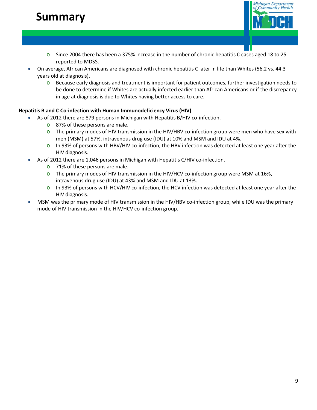# **Summary**



- $\circ$  Since 2004 there has been a 375% increase in the number of chronic hepatitis C cases aged 18 to 25 reported to MDSS.
- On average, African Americans are diagnosed with chronic hepatitis C later in life than Whites (56.2 vs. 44.3 years old at diagnosis).
	- o Because early diagnosis and treatment is important for patient outcomes, further investigation needs to be done to determine if Whites are actually infected earlier than African Americans or if the discrepancy in age at diagnosis is due to Whites having better access to care.

### **Hepatitis B and C Co-infection with Human Immunodeficiency Virus (HIV)**

- As of 2012 there are 879 persons in Michigan with Hepatitis B/HIV co-infection.
	- o 87% of these persons are male.
	- $\circ$  The primary modes of HIV transmission in the HIV/HBV co-infection group were men who have sex with men (MSM) at 57%, intravenous drug use (IDU) at 10% and MSM and IDU at 4%.
	- $\circ$  In 93% of persons with HBV/HIV co-infection, the HBV infection was detected at least one year after the HIV diagnosis.
- As of 2012 there are 1,046 persons in Michigan with Hepatitis C/HIV co-infection.
	- o 71% of these persons are male.
	- $\circ$  The primary modes of HIV transmission in the HIV/HCV co-infection group were MSM at 16%, intravenous drug use (IDU) at 43% and MSM and IDU at 13%.
	- $\circ$  In 93% of persons with HCV/HIV co-infection, the HCV infection was detected at least one year after the HIV diagnosis.
- MSM was the primary mode of HIV transmission in the HIV/HBV co-infection group, while IDU was the primary mode of HIV transmission in the HIV/HCV co-infection group.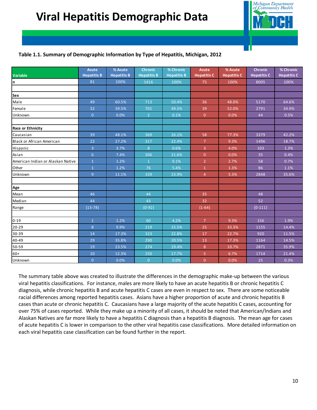

### **Table 1.1. Summary of Demographic Information by Type of Hepatitis, Michigan, 2012**

|                                   | <b>Acute</b>       | % Acute            | <b>Chronic</b>     | % Chronic          | Acute              | % Acute            | <b>Chronic</b>     | % Chronic          |
|-----------------------------------|--------------------|--------------------|--------------------|--------------------|--------------------|--------------------|--------------------|--------------------|
| Variable                          | <b>Hepatitis B</b> | <b>Hepatitis B</b> | <b>Hepatitis B</b> | <b>Hepatitis B</b> | <b>Hepatitis C</b> | <b>Hepatitis C</b> | <b>Hepatitis C</b> | <b>Hepatitis C</b> |
| n                                 | 81                 | 100%               | 1416               | 100%               | 75                 | 100%               | 8005               | 100%               |
|                                   |                    |                    |                    |                    |                    |                    |                    |                    |
| Sex                               |                    |                    |                    |                    |                    |                    |                    |                    |
| Male                              | 49                 | 60.5%              | 713                | 50.4%              | 36                 | 48.0%              | 5170               | 64.6%              |
| Female                            | 32                 | 39.5%              | 701                | 49.5%              | 39                 | 52.0%              | 2791               | 34.9%              |
| Unknown                           | $\overline{0}$     | 0.0%               | $\overline{2}$     | 0.1%               | $\overline{0}$     | 0.0%               | 44                 | 0.5%               |
|                                   |                    |                    |                    |                    |                    |                    |                    |                    |
| <b>Race or Ethnicity</b>          |                    |                    |                    |                    |                    |                    |                    |                    |
| <b>Caucasian</b>                  | 39                 | 48.1%              | 369                | 26.1%              | 58                 | 77.3%              | 3379               | 42.2%              |
| Black or African American         | 22                 | 27.2%              | 317                | 22.4%              | 7 <sup>2</sup>     | 9.3%               | 1496               | 18.7%              |
| Hispanic                          | $\overline{3}$     | 3.7%               | 8                  | 0.6%               | $\overline{3}$     | 4.0%               | 103                | 1.3%               |
| Asian                             | 6                  | 7.4%               | 306                | 21.6%              | $\mathbf{0}$       | 0.0%               | 35                 | 0.4%               |
| American Indian or Alaskan Native | $\overline{1}$     | 1.2%               | $\mathbf{1}$       | 0.1%               | $\overline{2}$     | 2.7%               | 58                 | 0.7%               |
| Other                             | $\overline{1}$     | 1.2%               | 76                 | 5.4%               | $\mathbf{1}$       | 1.3%               | 86                 | 1.1%               |
| Unknown                           | $\overline{9}$     | 11.1%              | 339                | 23.9%              | $\overline{4}$     | 5.3%               | 2848               | 35.6%              |
|                                   |                    |                    |                    |                    |                    |                    |                    |                    |
| Age                               |                    |                    |                    |                    |                    |                    |                    |                    |
| Mean                              | 46                 |                    | 44                 |                    | 35                 |                    | 48                 |                    |
| Median                            | 44                 |                    | 43                 |                    | 32                 |                    | 52                 |                    |
| Range                             | $(13-78)$          |                    | $(0-92)$           |                    | $(1-64)$           |                    | $(0-111)$          |                    |
|                                   |                    |                    |                    |                    |                    |                    |                    |                    |
| $0 - 19$                          | $\mathbf{1}$       | 1.2%               | 60                 | 4.2%               | $\overline{7}$     | 9.3%               | 156                | 1.9%               |
| $20 - 29$                         | 8                  | 9.9%               | 219                | 15.5%              | 25                 | 33.3%              | 1155               | 14.4%              |
| 30-39                             | 14                 | 17.3%              | 323                | 22.8%              | 17                 | 22.7%              | 920                | 11.5%              |
| 40-49                             | 29                 | 35.8%              | 290                | 20.5%              | 13                 | 17.3%              | 1164               | 14.5%              |
| 50-59                             | 19                 | 23.5%              | 274                | 19.4%              | 8                  | 10.7%              | 2871               | 35.9%              |
| $60+$                             | 10                 | 12.3%              | 250                | 17.7%              | 5                  | 6.7%               | 1714               | 21.4%              |
| Unknown                           | $\overline{0}$     | 0.0%               | $\overline{0}$     | 0.0%               | $\overline{0}$     | 0.0%               | 25                 | 0.3%               |

The summary table above was created to illustrate the differences in the demographic make-up between the various viral hepatitis classifications. For instance, males are more likely to have an acute hepatitis B or chronic hepatitis C diagnosis, while chronic hepatitis B and acute hepatitis C cases are even in respect to sex. There are some noticeable racial differences among reported hepatitis cases. Asians have a higher proportion of acute and chronic hepatitis B cases than acute or chronic hepatitis C. Caucasians have a large majority of the acute hepatitis C cases, accounting for over 75% of cases reported. While they make up a minority of all cases, it should be noted that American/Indians and Alaskan Natives are far more likely to have a hepatitis C diagnosis than a hepatitis B diagnosis. The mean age for cases of acute hepatitis C is lower in comparison to the other viral hepatitis case classifications. More detailed information on each viral hepatitis case classification can be found further in the report.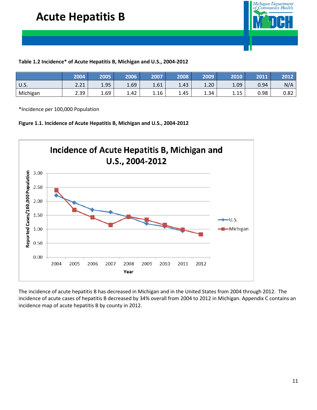

#### **Table 1.2 Incidence\* of Acute Hepatitis B, Michigan and U.S., 2004-2012**

|          | 2004         | 2005 | 2006 | 2007 | 2008 | 2009 | 2010        | 2011 | 2012 |
|----------|--------------|------|------|------|------|------|-------------|------|------|
| U.S.     | 2.21<br>2.21 | 1.95 | 1.69 | 1.61 | 1.43 | 1.20 | 1.09        | 0.94 | N/A  |
| Michigan | 2.39         | 1.69 | 1.42 | 1.16 | 1.45 | 1.34 | 115<br>⊥.⊥ఎ | 0.98 | 0.82 |

\*Incidence per 100,000 Population





The incidence of acute hepatitis B has decreased in Michigan and in the United States from 2004 through 2012. The incidence of acute cases of hepatitis B decreased by 34% overall from 2004 to 2012 in Michigan. Appendix C contains an incidence map of acute hepatitis B by county in 2012.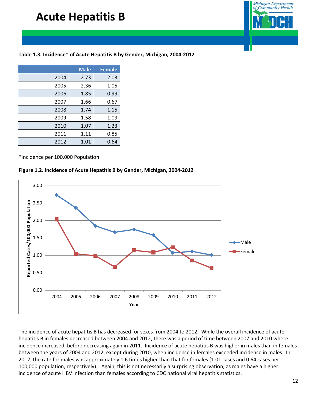## **Acute Hepatitis B**



### **Table 1.3. Incidence\* of Acute Hepatitis B by Gender, Michigan, 2004-2012**

|      | <b>Male</b> | <b>Female</b> |
|------|-------------|---------------|
| 2004 | 2.73        | 2.03          |
| 2005 | 2.36        | 1.05          |
| 2006 | 1.85        | 0.99          |
| 2007 | 1.66        | 0.67          |
| 2008 | 1.74        | 1.15          |
| 2009 | 1.58        | 1.09          |
| 2010 | 1.07        | 1.23          |
| 2011 | 1.11        | 0.85          |
| 2012 | 1.01        | 0.64          |

\*Incidence per 100,000 Population

#### **Figure 1.2. Incidence of Acute Hepatitis B by Gender, Michigan, 2004-2012**



The incidence of acute hepatitis B has decreased for sexes from 2004 to 2012. While the overall incidence of acute hepatitis B in females decreased between 2004 and 2012, there was a period of time between 2007 and 2010 where incidence increased, before decreasing again in 2011. Incidence of acute hepatitis B was higher in males than in females between the years of 2004 and 2012, except during 2010, when incidence in females exceeded incidence in males. In 2012, the rate for males was approximately 1.6 times higher than that for females (1.01 cases and 0.64 cases per 100,000 population, respectively). Again, this is not necessarily a surprising observation, as males have a higher incidence of acute HBV infection than females according to CDC national viral hepatitis statistics.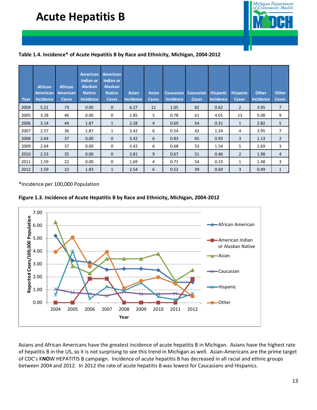## **Acute Hepatitis B**



#### **Table 1.4. Incidence\* of Acute Hepatitis B by Race and Ethnicity, Michigan, 2004-2012**

| Year | <b>African</b><br><b>American</b><br><b>Incidence</b> | <b>African</b><br><b>American</b><br>Cases | <b>American</b><br>Indian or<br><b>Alaskan</b><br><b>Native</b><br><b>Incidence</b> | <b>American</b><br>Indian or<br><b>Alaskan</b><br><b>Native</b><br><b>Cases</b> | <b>Asian</b><br><b>Incidence</b> | <b>Asian</b><br><b>Cases</b> | Caucasian<br>Incidence | <b>Caucasian</b><br>Cases | <b>Hispanic</b><br><b>Incidence</b> | <b>Hispanic</b><br><b>Cases</b> | <b>Other</b><br><b>Incidence</b> | <b>Other</b><br><b>Cases</b> |
|------|-------------------------------------------------------|--------------------------------------------|-------------------------------------------------------------------------------------|---------------------------------------------------------------------------------|----------------------------------|------------------------------|------------------------|---------------------------|-------------------------------------|---------------------------------|----------------------------------|------------------------------|
| 2004 | 5.21                                                  | 73                                         | 0.00                                                                                | $\mathbf{0}$                                                                    | 6.27                             | 11                           | 1.05                   | 82                        | 0.62                                | $\overline{2}$                  | 3.95                             | $\overline{7}$               |
| 2005 | 3.28                                                  | 46                                         | 0.00                                                                                | 0                                                                               | 2.85                             | 5                            | 0.78                   | 61                        | 4.01                                | 13                              | 5.08                             | 9                            |
| 2006 | 3.14                                                  | 44                                         | 1.87                                                                                | $\mathbf{1}$                                                                    | 2.28                             | 4                            | 0.69                   | 54                        | 0.31                                | $\mathbf{1}$                    | 2.82                             | 5                            |
| 2007 | 2.57                                                  | 36                                         | 1.87                                                                                | 1                                                                               | 3.42                             | 6                            | 0.54                   | 42                        | 1.24                                | 4                               | 3.95                             | 7                            |
| 2008 | 2.64                                                  | 37                                         | 0.00                                                                                | $\mathbf{0}$                                                                    | 3.42                             | 6                            | 0.83                   | 65                        | 0.93                                | 3                               | 1.13                             | $\overline{2}$               |
| 2009 | 2.64                                                  | 37                                         | 0.00                                                                                | $\mathbf 0$                                                                     | 3.42                             | 6                            | 0.68                   | 53                        | 1.54                                | 5                               | 1.69                             | 3                            |
| 2010 | 2.53                                                  | 35                                         | 0.00                                                                                | $\mathbf{0}$                                                                    | 3.81                             | 9                            | 0.67                   | 51                        | 0.46                                | $\overline{2}$                  | 1.98                             | $\overline{4}$               |
| 2011 | 1.59                                                  | 22                                         | 0.00                                                                                | 0                                                                               | 1.69                             | 4                            | 0.71                   | 54                        | 0.23                                | 1                               | 1.48                             | 3                            |
| 2012 | 1.59                                                  | 22                                         | 1.83                                                                                | 1                                                                               | 2.54                             | 6                            | 0.52                   | 39                        | 0.69                                | 3                               | 0.49                             | $\mathbf{1}$                 |

\*Incidence per 100,000 Population





Asians and African Americans have the greatest incidence of acute hepatitis B in Michigan. Asians have the highest rate of hepatitis B in the US, so it is not surprising to see this trend in Michigan as well. Asian-Americans are the prime target of CDC's K**NO**W HEPATITIS B campaign. Incidence of acute hepatitis B has decreased in all racial and ethnic groups between 2004 and 2012. In 2012 the rate of acute hepatitis B was lowest for Caucasians and Hispanics.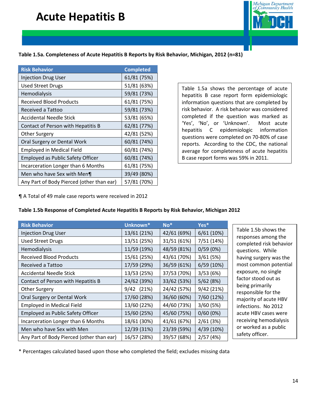## **Acute Hepatitis B**



#### **Table 1.5a. Completeness of Acute Hepatitis B Reports by Risk Behavior, Michigan, 2012 (n=81)**

| <b>Risk Behavior</b>                      | <b>Completed</b> |
|-------------------------------------------|------------------|
| <b>Injection Drug User</b>                | 61/81 (75%)      |
| Used Street Drugs                         | 51/81 (63%)      |
| Hemodialysis                              | 59/81 (73%)      |
| Received Blood Products                   | 61/81 (75%)      |
| Received a Tattoo                         | 59/81 (73%)      |
| <b>Accidental Needle Stick</b>            | 53/81 (65%)      |
| Contact of Person with Hepatitis B        | 62/81 (77%)      |
| Other Surgery                             | 42/81 (52%)      |
| Oral Surgery or Dental Work               | 60/81 (74%)      |
| <b>Employed in Medical Field</b>          | 60/81 (74%)      |
| <b>Employed as Public Safety Officer</b>  | 60/81 (74%)      |
| Incarceration Longer than 6 Months        | 61/81 (75%)      |
| Men who have Sex with Men¶                | 39/49 (80%)      |
| Any Part of Body Pierced (other than ear) | 57/81 (70%)      |

Table 1.5a shows the percentage of acute hepatitis B case report form epidemiologic information questions that are completed by risk behavior. A risk behavior was considered completed if the question was marked as 'Yes', 'No', or 'Unknown'. Most acute hepatitis C epidemiologic information questions were completed on 70-80% of case reports. According to the CDC, the national average for completeness of acute hepatitis B case report forms was 59% in 2011.

¶ A Total of 49 male case reports were received in 2012

#### **Table 1.5b Response of Completed Acute Hepatitis B Reports by Risk Behavior, Michigan 2012**

| <b>Risk Behavior</b>                      | Unknown*    | $No*$       | Yes*       |
|-------------------------------------------|-------------|-------------|------------|
| <b>Injection Drug User</b>                | 13/61 (21%) | 42/61 (69%) | 6/61(10%)  |
| <b>Used Street Drugs</b>                  | 13/51 (25%) | 31/51 (61%) | 7/51 (14%) |
| Hemodialysis                              | 11/59 (19%) | 48/59 (81%) | 0/59(0%)   |
| <b>Received Blood Products</b>            | 15/61 (25%) | 43/61 (70%) | 3/61(5%)   |
| Received a Tattoo                         | 17/59 (29%) | 36/59 (61%) | 6/59 (10%) |
| <b>Accidental Needle Stick</b>            | 13/53 (25%) | 37/53 (70%) | 3/53(6%)   |
| Contact of Person with Hepatitis B        | 24/62 (39%) | 33/62 (53%) | 5/62(8%)   |
| <b>Other Surgery</b>                      | 9/42 (21%)  | 24/42 (57%) | 9/42 (21%) |
| Oral Surgery or Dental Work               | 17/60 (28%) | 36/60 (60%) | 7/60 (12%) |
| <b>Employed in Medical Field</b>          | 13/60 (22%) | 44/60 (73%) | 3/60(5%)   |
| <b>Employed as Public Safety Officer</b>  | 15/60 (25%) | 45/60 (75%) | 0/60(0%)   |
| Incarceration Longer than 6 Months        | 18/61 (30%) | 41/61 (67%) | 2/61(3%)   |
| Men who have Sex with Men                 | 12/39 (31%) | 23/39 (59%) | 4/39 (10%) |
| Any Part of Body Pierced (other than ear) | 16/57 (28%) | 39/57 (68%) | 2/57(4%)   |

Table 1.5b shows the responses among the completed risk behavior questions. While having surgery was the most common potential exposure, no single factor stood out as being primarily responsible for the majority of acute HBV infections. No 2012 acute HBV cases were receiving hemodialysis or worked as a public safety officer.

\* Percentages calculated based upon those who completed the field; excludes missing data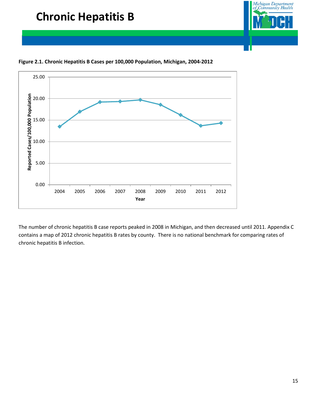



**Figure 2.1. Chronic Hepatitis B Cases per 100,000 Population, Michigan, 2004-2012**

The number of chronic hepatitis B case reports peaked in 2008 in Michigan, and then decreased until 2011. Appendix C contains a map of 2012 chronic hepatitis B rates by county. There is no national benchmark for comparing rates of chronic hepatitis B infection.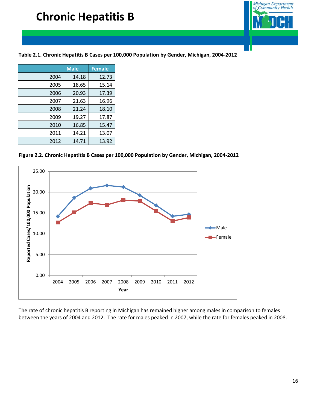

**Table 2.1. Chronic Hepatitis B Cases per 100,000 Population by Gender, Michigan, 2004-2012**

|      | <b>Male</b> | <b>Female</b> |
|------|-------------|---------------|
| 2004 | 14.18       | 12.73         |
| 2005 | 18.65       | 15.14         |
| 2006 | 20.93       | 17.39         |
| 2007 | 21.63       | 16.96         |
| 2008 | 21.24       | 18.10         |
| 2009 | 19.27       | 17.87         |
| 2010 | 16.85       | 15.47         |
| 2011 | 14.21       | 13.07         |
| 2012 | 14.71       | 13.92         |

**Figure 2.2. Chronic Hepatitis B Cases per 100,000 Population by Gender, Michigan, 2004-2012**



The rate of chronic hepatitis B reporting in Michigan has remained higher among males in comparison to females between the years of 2004 and 2012. The rate for males peaked in 2007, while the rate for females peaked in 2008.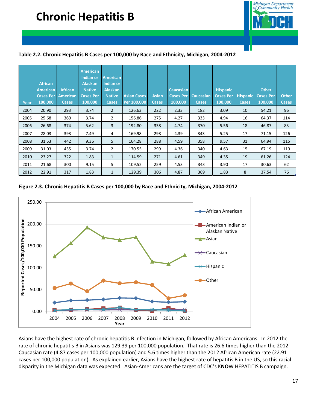

#### **Table 2.2. Chronic Hepatitis B Cases per 100,000 by Race and Ethnicity, Michigan, 2004-2012**

| Year | <b>African</b><br><b>American</b><br>100,000 | <b>African</b><br><b>Cases Per American</b><br>Cases, | <b>American</b><br>Indian or<br><b>Alaskan</b><br><b>Native</b><br><b>Cases Per</b><br>100,000 | American<br>Indian or<br><b>Alaskan</b><br><b>Native</b><br><b>Cases</b> | <b>Asian Cases</b><br>Per 100,000 | <b>Asian</b><br><b>Cases</b> | <b>Caucasian</b><br><b>Cases Per</b><br>100,000 | <b>Caucasian</b><br><b>Cases</b> | <b>Hispanic</b><br><b>Cases Per</b><br>100,000 | <b>Hispanic</b><br><b>Cases</b> | <b>Other</b><br><b>Cases Per</b><br>100,000 | <b>Other</b><br><b>Cases</b> |
|------|----------------------------------------------|-------------------------------------------------------|------------------------------------------------------------------------------------------------|--------------------------------------------------------------------------|-----------------------------------|------------------------------|-------------------------------------------------|----------------------------------|------------------------------------------------|---------------------------------|---------------------------------------------|------------------------------|
| 2004 | 20.90                                        | 293                                                   | 3.74                                                                                           | $\overline{2}$                                                           | 126.63                            | 222                          | 2.33                                            | 182                              | 3.09                                           | 10                              | 54.21                                       | 96                           |
| 2005 | 25.68                                        | 360                                                   | 3.74                                                                                           | $\overline{2}$                                                           | 156.86                            | 275                          | 4.27                                            | 333                              | 4.94                                           | 16                              | 64.37                                       | 114                          |
| 2006 | 26.68                                        | 374                                                   | 5.62                                                                                           | 3                                                                        | 192.80                            | 338                          | 4.74                                            | 370                              | 5.56                                           | 18                              | 46.87                                       | 83                           |
| 2007 | 28.03                                        | 393                                                   | 7.49                                                                                           | 4                                                                        | 169.98                            | 298                          | 4.39                                            | 343                              | 5.25                                           | 17                              | 71.15                                       | 126                          |
| 2008 | 31.53                                        | 442                                                   | 9.36                                                                                           | 5                                                                        | 164.28                            | 288                          | 4.59                                            | 358                              | 9.57                                           | 31                              | 64.94                                       | 115                          |
| 2009 | 31.03                                        | 435                                                   | 3.74                                                                                           | $\overline{2}$                                                           | 170.55                            | 299                          | 4.36                                            | 340                              | 4.63                                           | 15                              | 67.19                                       | 119                          |
| 2010 | 23.27                                        | 322                                                   | 1.83                                                                                           | $\mathbf{1}$                                                             | 114.59                            | 271                          | 4.61                                            | 349                              | 4.35                                           | 19                              | 61.26                                       | 124                          |
| 2011 | 21.68                                        | 300                                                   | 9.15                                                                                           | 5                                                                        | 109.52                            | 259                          | 4.53                                            | 343                              | 3.90                                           | 17                              | 30.63                                       | 62                           |
| 2012 | 22.91                                        | 317                                                   | 1.83                                                                                           | $\mathbf{1}$                                                             | 129.39                            | 306                          | 4.87                                            | 369                              | 1.83                                           | 8                               | 37.54                                       | 76                           |

#### **Figure 2.3. Chronic Hepatitis B Cases per 100,000 by Race and Ethnicity, Michigan, 2004-2012**



Asians have the highest rate of chronic hepatitis B infection in Michigan, followed by African Americans. In 2012 the rate of chronic hepatitis B in Asians was 129.39 per 100,000 population. That rate is 26.6 times higher than the 2012 Caucasian rate (4.87 cases per 100,000 population) and 5.6 times higher than the 2012 African American rate (22.91 cases per 100,000 population). As explained earlier, Asians have the highest rate of hepatitis B in the US, so this racialdisparity in the Michigan data was expected. Asian-Americans are the target of CDC's K**NO**W HEPATITIS B campaign.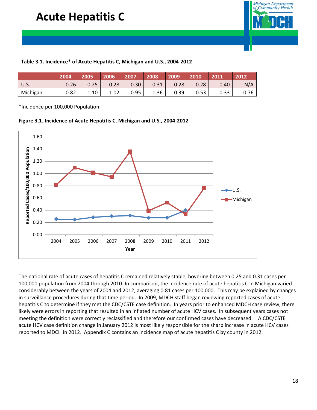

#### **Table 3.1. Incidence\* of Acute Hepatitis C, Michigan and U.S., 2004-2012**

|             | 2004              | 2005 | 2006 | 2007 | 2008 | 2009 | 2010 | 2011              | 2012 |
|-------------|-------------------|------|------|------|------|------|------|-------------------|------|
| <b>U.S.</b> | 0.26 <sub>1</sub> | 0.25 | 0.28 | 0.30 | 0.31 | 0.28 | 0.28 | 0.40 <sub>1</sub> | N/A  |
| Michigan    | 0.82              | 1.10 | 1.02 | 0.95 | 1.36 | 0.39 | 0.53 | 0.33              | 0.76 |

\*Incidence per 100,000 Population





The national rate of acute cases of hepatitis C remained relatively stable, hovering between 0.25 and 0.31 cases per 100,000 population from 2004 through 2010. In comparison, the incidence rate of acute hepatitis C in Michigan varied considerably between the years of 2004 and 2012, averaging 0.81 cases per 100,000. This may be explained by changes in surveillance procedures during that time period. In 2009, MDCH staff began reviewing reported cases of acute hepatitis C to determine if they met the CDC/CSTE case definition. In years prior to enhanced MDCH case review, there likely were errors in reporting that resulted in an inflated number of acute HCV cases. In subsequent years cases not meeting the definition were correctly reclassified and therefore our confirmed cases have decreased. . A CDC/CSTE acute HCV case definition change in January 2012 is most likely responsible for the sharp increase in acute HCV cases reported to MDCH in 2012. Appendix C contains an incidence map of acute hepatitis C by county in 2012.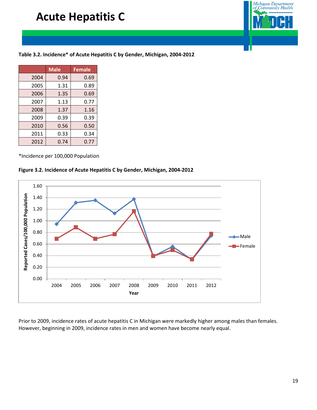## **Acute Hepatitis C**



### **Table 3.2. Incidence\* of Acute Hepatitis C by Gender, Michigan, 2004-2012**

|      | <b>Male</b> | <b>Female</b> |
|------|-------------|---------------|
| 2004 | 0.94        | 0.69          |
| 2005 | 1.31        | 0.89          |
| 2006 | 1.35        | 0.69          |
| 2007 | 1.13        | 0.77          |
| 2008 | 1.37        | 1.16          |
| 2009 | 0.39        | 0.39          |
| 2010 | 0.56        | 0.50          |
| 2011 | 0.33        | 0.34          |
| 2012 | 0.74        | 0.77          |

\*Incidence per 100,000 Population

#### **Figure 3.2. Incidence of Acute Hepatitis C by Gender, Michigan, 2004-2012**



Prior to 2009, incidence rates of acute hepatitis C in Michigan were markedly higher among males than females. However, beginning in 2009, incidence rates in men and women have become nearly equal.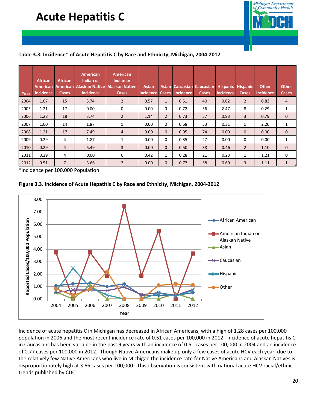## **Acute Hepatitis C**



#### **Table 3.3. Incidence\* of Acute Hepatitis C by Race and Ethnicity, Michigan, 2004-2012**

| Year | <b>African</b><br><b>American</b><br><b>Incidence</b> | <b>African</b><br><b>Cases</b> | American<br>Indian or<br><b>American Alaskan Native</b><br><b>Incidence</b> | <b>American</b><br>Indian or<br><b>Alaskan Native</b><br><b>Cases</b> | <b>Asian</b><br><b>Incidence</b> | <b>Cases</b>   | <b>Incidence</b> | Asian Caucasian Caucasian<br><b>Cases</b> | <b>Hispanic</b><br><b>Incidence</b> | <b>Hispanic</b><br><b>Cases</b> | <b>Other</b><br><b>Incidence</b> | <b>Other</b><br><b>Cases</b> |
|------|-------------------------------------------------------|--------------------------------|-----------------------------------------------------------------------------|-----------------------------------------------------------------------|----------------------------------|----------------|------------------|-------------------------------------------|-------------------------------------|---------------------------------|----------------------------------|------------------------------|
| 2004 | 1.07                                                  | 15                             | 3.74                                                                        | $\overline{2}$                                                        | 0.57                             | $\mathbf{1}$   | 0.51             | 40                                        | 0.62                                | $\overline{2}$                  | 0.83                             | 4                            |
| 2005 | 1.21                                                  | 17                             | 0.00                                                                        | 0                                                                     | 0.00                             | 0              | 0.72             | 56                                        | 2.47                                | 8                               | 0.29                             | 1                            |
| 2006 | 1.28                                                  | 18                             | 3.74                                                                        | $\overline{2}$                                                        | 1.14                             | $\overline{2}$ | 0.73             | 57                                        | 0.93                                | 3                               | 0.79                             | $\mathbf{0}$                 |
| 2007 | 1.00                                                  | 14                             | 1.87                                                                        | 1                                                                     | 0.00                             | $\mathbf 0$    | 0.68             | 53                                        | 0.31                                | $\mathbf{1}$                    | 2.20                             | 1                            |
| 2008 | 1.21                                                  | 17                             | 7.49                                                                        | 4                                                                     | 0.00                             | $\mathbf{0}$   | 0.95             | 74                                        | 0.00                                | $\Omega$                        | 0.00                             | $\mathbf{0}$                 |
| 2009 | 0.29                                                  | 4                              | 1.87                                                                        | 1                                                                     | 0.00                             | $\mathbf 0$    | 0.35             | 27                                        | 0.00                                | 0                               | 0.00                             | 1                            |
| 2010 | 0.29                                                  | $\overline{4}$                 | 5.49                                                                        | 3                                                                     | 0.00                             | $\mathbf{0}$   | 0.50             | 38                                        | 0.46                                | $\overline{2}$                  | 1.10                             | 0                            |
| 2011 | 0.29                                                  | 4                              | 0.00                                                                        | 0                                                                     | 0.42                             | $\mathbf{1}$   | 0.28             | 21                                        | 0.23                                | 1                               | 1.21                             | 0                            |
| 2012 | 0.51                                                  | $\overline{7}$                 | 3.66                                                                        | $\overline{2}$                                                        | 0.00                             | $\mathbf{0}$   | 0.77             | 58                                        | 0.69                                | 3                               | 1.11                             | 1                            |

\*Incidence per 100,000 Population





Incidence of acute hepatitis C in Michigan has decreased in African Americans, with a high of 1.28 cases per 100,000 population in 2006 and the most recent incidence rate of 0.51 cases per 100,000 in 2012. Incidence of acute hepatitis C in Caucasians has been variable in the past 9 years with an incidence of 0.51 cases per 100,000 in 2004 and an incidence of 0.77 cases per 100,000 in 2012. Though Native Americans make up only a few cases of acute HCV each year, due to the relatively few Native Americans who live in Michigan the incidence rate for Native Americans and Alaskan Natives is disproportionately high at 3.66 cases per 100,000. This observation is consistent with national acute HCV racial/ethnic trends published by CDC.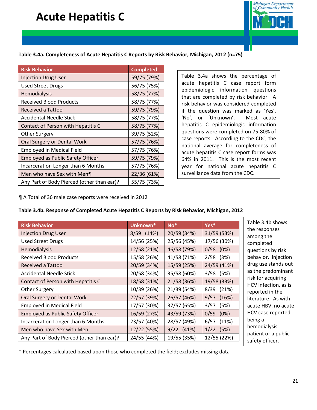## **Acute Hepatitis C**



#### **Table 3.4a. Completeness of Acute Hepatitis C Reports by Risk Behavior, Michigan, 2012 (n=75)**

| <b>Risk Behavior</b>                       | <b>Completed</b> |
|--------------------------------------------|------------------|
| <b>Injection Drug User</b>                 | 59/75 (79%)      |
| <b>Used Street Drugs</b>                   | 56/75 (75%)      |
| Hemodialysis                               | 58/75 (77%)      |
| <b>Received Blood Products</b>             | 58/75 (77%)      |
| Received a Tattoo                          | 59/75 (79%)      |
| <b>Accidental Needle Stick</b>             | 58/75 (77%)      |
| Contact of Person with Hepatitis C         | 58/75 (77%)      |
| Other Surgery                              | 39/75 (52%)      |
| Oral Surgery or Dental Work                | 57/75 (76%)      |
| <b>Employed in Medical Field</b>           | 57/75 (76%)      |
| <b>Employed as Public Safety Officer</b>   | 59/75 (79%)      |
| Incarceration Longer than 6 Months         | 57/75 (76%)      |
| Men who have Sex with Men¶                 | 22/36 (61%)      |
| Any Part of Body Pierced (other than ear)? | 55/75 (73%)      |

Table 3.4a shows the percentage of acute hepatitis C case report form epidemiologic information questions that are completed by risk behavior. A risk behavior was considered completed if the question was marked as 'Yes', 'No', or 'Unknown'. Most acute hepatitis C epidemiologic information questions were completed on 75-80% of case reports. According to the CDC, the national average for completeness of acute hepatitis C case report forms was 64% in 2011. This is the most recent year for national acute hepatitis C surveillance data from the CDC.

¶ A Total of 36 male case reports were received in 2012

#### **Table 3.4b. Response of Completed Acute Hepatitis C Reports by Risk Behavior, Michigan, 2012**

| <b>Risk Behavior</b>                       | Unknown*    | $No*$        | Yes*          |
|--------------------------------------------|-------------|--------------|---------------|
| <b>Injection Drug User</b>                 | 8/59 (14%)  | 20/59 (34%)  | 31/59 (53%)   |
| <b>Used Street Drugs</b>                   | 14/56 (25%) | 25/56 (45%)  | 17/56 (30%)   |
| Hemodialysis                               | 12/58 (21%) | 46/58 (79%)  | $0/58$ $(0%)$ |
| <b>Received Blood Products</b>             | 15/58 (26%) | 41/58 (71%)  | $2/58$ (3%)   |
| Received a Tattoo                          | 20/59 (34%) | 15/59 (25%)  | 24/59 (41%)   |
| <b>Accidental Needle Stick</b>             | 20/58 (34%) | 35/58 (60%)  | $3/58$ (5%)   |
| Contact of Person with Hepatitis C         | 18/58 (31%) | 21/58 (36%)  | 19/58 (33%)   |
| <b>Other Surgery</b>                       | 10/39 (26%) | 21/39 (54%)  | 8/39 (21%)    |
| Oral Surgery or Dental Work                | 22/57 (39%) | 26/57 (46%)  | 9/57<br>(16%) |
| <b>Employed in Medical Field</b>           | 17/57 (30%) | 37/57 (65%)  | 3/57<br>(5%)  |
| <b>Employed as Public Safety Officer</b>   | 16/59 (27%) | 43/59 (73%)  | 0/59<br>(0%)  |
| Incarceration Longer than 6 Months         | 23/57 (40%) | 28/57 (49%)  | 6/57<br>(11%) |
| Men who have Sex with Men                  | 12/22 (55%) | $9/22$ (41%) | $1/22$ (5%)   |
| Any Part of Body Pierced (other than ear)? | 24/55 (44%) | 19/55 (35%)  | 12/55 (22%)   |
|                                            |             |              |               |

Ab shows ponses the ted ns by risk or. Injection e stands out redominant acquiring ection, as is d in the re. As with BV, no acute e reported alysis or a public safety officer.

\* Percentages calculated based upon those who completed the field; excludes missing data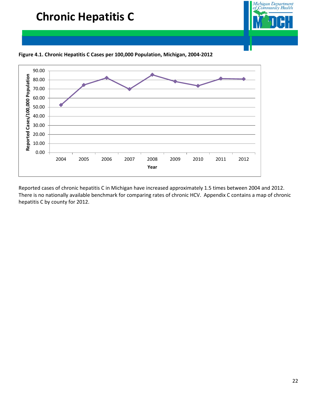

Reported cases of chronic hepatitis C in Michigan have increased approximately 1.5 times between 2004 and 2012. There is no nationally available benchmark for comparing rates of chronic HCV. Appendix C contains a map of chronic hepatitis C by county for 2012.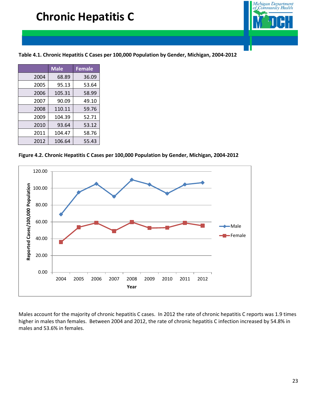

**Table 4.1. Chronic Hepatitis C Cases per 100,000 Population by Gender, Michigan, 2004-2012**

|      | <b>Male</b> | <b>Female</b> |
|------|-------------|---------------|
| 2004 | 68.89       | 36.09         |
| 2005 | 95.13       | 53.64         |
| 2006 | 105.31      | 58.99         |
| 2007 | 90.09       | 49.10         |
| 2008 | 110.11      | 59.76         |
| 2009 | 104.39      | 52.71         |
| 2010 | 93.64       | 53.12         |
| 2011 | 104.47      | 58.76         |
| 2012 | 106.64      | 55.43         |

**Figure 4.2. Chronic Hepatitis C Cases per 100,000 Population by Gender, Michigan, 2004-2012**



Males account for the majority of chronic hepatitis C cases. In 2012 the rate of chronic hepatitis C reports was 1.9 times higher in males than females. Between 2004 and 2012, the rate of chronic hepatitis C infection increased by 54.8% in males and 53.6% in females.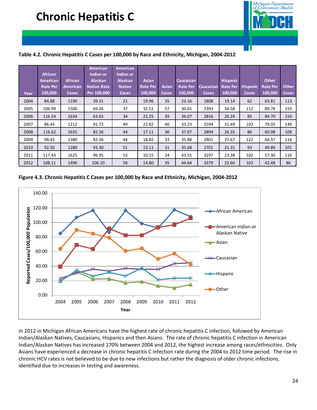

#### **Table 4.2. Chronic Hepatitis C Cases per 100,000 by Race and Ethnicity, Michigan, 2004-2012**

| Year | <b>African</b><br><b>American</b><br><b>Rate Per</b><br>100,000 | <b>African</b><br><b>American</b><br><b>Cases</b> | <b>American</b><br>Indian or<br><b>Alaskan</b><br><b>Native Rate</b><br>Per 100,000 | <b>American</b><br>Indian or<br><b>Alaskan</b><br><b>Native</b><br><b>Cases</b> | <b>Asian</b><br><b>Rate Per</b><br>100,000 | <b>Asian</b><br><b>Cases</b> | <b>Caucasian</b><br><b>Rate Per</b><br>100,000 | <b>Caucasian</b><br><b>Cases</b> | <b>Hispanic</b><br><b>Rate Per</b><br>100,000 | <b>Hispanic</b><br><b>Cases</b> | <b>Other</b><br><b>Rate Per</b><br>100,000 | <b>Other</b><br><b>Cases</b> |
|------|-----------------------------------------------------------------|---------------------------------------------------|-------------------------------------------------------------------------------------|---------------------------------------------------------------------------------|--------------------------------------------|------------------------------|------------------------------------------------|----------------------------------|-----------------------------------------------|---------------------------------|--------------------------------------------|------------------------------|
| 2004 | 84.88                                                           | 1190                                              | 39.31                                                                               | 21                                                                              | 19.96                                      | 35                           | 23.16                                          | 1808                             | 19.14                                         | 62                              | 63.81                                      | 113                          |
| 2005 | 106.99                                                          | 1500                                              | 69.26                                                                               | 37                                                                              | 32.51                                      | 57                           | 30.65                                          | 2393                             | 34.58                                         | 112                             | 89.78                                      | 159                          |
| 2006 | 116.54                                                          | 1634                                              | 63.65                                                                               | 34                                                                              | 22.25                                      | 39                           | 36.07                                          | 2816                             | 26.24                                         | 85                              | 84.70                                      | 150                          |
| 2007 | 86.45                                                           | 1212                                              | 91.72                                                                               | 49                                                                              | 22.82                                      | 40                           | 33.23                                          | 2594                             | 31.49                                         | 102                             | 79.05                                      | 140                          |
| 2008 | 116.62                                                          | 1635                                              | 82.36                                                                               | 44                                                                              | 17.11                                      | 30                           | 37.07                                          | 2894                             | 26.55                                         | 86                              | 60.98                                      | 108                          |
| 2009 | 98.43                                                           | 1380                                              | 82.36                                                                               | 44                                                                              | 18.82                                      | 33                           | 35.88                                          | 2801                             | 37.67                                         | 122                             | 64.37                                      | 114                          |
| 2010 | 92.50                                                           | 1280                                              | 93.30                                                                               | 51                                                                              | 13.11                                      | 31                           | 35.68                                          | 2701                             | 21.31                                         | 93                              | 49.89                                      | 101                          |
| 2011 | 117.43                                                          | 1625                                              | 96.95                                                                               | 53                                                                              | 10.15                                      | 24                           | 43.55                                          | 3297                             | 23.38                                         | 102                             | 57.30                                      | 116                          |
| 2012 | 108.11                                                          | 1496                                              | 106.10                                                                              | 58                                                                              | 14.80                                      | 35                           | 44.64                                          | 3379                             | 23.60                                         | 103                             | 42.48                                      | 86                           |

#### **Figure 4.3. Chronic Hepatitis C Cases per 100,000 by Race and Ethnicity, Michigan, 2004-2012**



In 2012 in Michigan African Americans have the highest rate of chronic hepatitis C infection, followed by American Indian/Alaskan Natives, Caucasians, Hispanics and then Asians. The rate of chronic hepatitis C infection in American Indian/Alaskan Natives has increased 170% between 2004 and 2012, the highest increase among races/ethnicities. Only Asians have experienced a decrease in chronic hepatitis C infection rate during the 2004 to 2012 time period. The rise in chronic HCV rates is not believed to be due to new infections but rather the diagnosis of older chronic infections, identified due to increases in testing and awareness.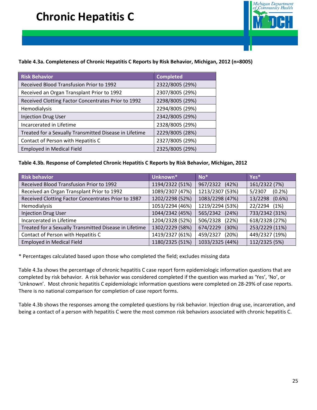

### **Table 4.3a. Completeness of Chronic Hepatitis C Reports by Risk Behavior, Michigan, 2012 (n=8005)**

| <b>Risk Behavior</b>                                   | <b>Completed</b> |
|--------------------------------------------------------|------------------|
| Received Blood Transfusion Prior to 1992               | 2322/8005 (29%)  |
| Received an Organ Transplant Prior to 1992             | 2307/8005 (29%)  |
| Received Clotting Factor Concentrates Prior to 1992    | 2298/8005 (29%)  |
| Hemodialysis                                           | 2294/8005 (29%)  |
| <b>Injection Drug User</b>                             | 2342/8005 (29%)  |
| Incarcerated in Lifetime                               | 2328/8005 (29%)  |
| Treated for a Sexually Transmitted Disease in Lifetime | 2229/8005 (28%)  |
| Contact of Person with Hepatitis C                     | 2327/8005 (29%)  |
| <b>Employed in Medical Field</b>                       | 2325/8005 (29%)  |

#### **Table 4.3b. Response of Completed Chronic Hepatitis C Reports by Risk Behavior, Michigan, 2012**

| <b>Risk behavior</b>                                   | Unknown*        | $No*$             | Yes*              |
|--------------------------------------------------------|-----------------|-------------------|-------------------|
| Received Blood Transfusion Prior to 1992               | 1194/2322 (51%) | 967/2322 (42%)    | 161/2322 (7%)     |
| Received an Organ Transplant Prior to 1992             | 1089/2307 (47%) | 1213/2307 (53%)   | 5/2307<br>(0.2%   |
| Received Clotting Factor Concentrates Prior to 1987    | 1202/2298 (52%) | 1083/2298 (47%)   | 13/2298<br>(0.6%) |
| Hemodialysis                                           | 1053/2294 (46%) | 1219/2294 (53%)   | 22/2294<br>(1%)   |
| <b>Injection Drug User</b>                             | 1044/2342 (45%) | 565/2342 (24%)    | 733/2342 (31%)    |
| Incarcerated in Lifetime                               | 1204/2328 (52%) | 506/2328 (22%)    | 618/2328 (27%)    |
| Treated for a Sexually Transmitted Disease in Lifetime | 1302/2229 (58%) | 674/2229<br>(30%) | 253/2229 (11%)    |
| Contact of Person with Hepatitis C                     | 1419/2327 (61%) | 459/2327<br>(20%) | 449/2327 (19%)    |
| <b>Employed in Medical Field</b>                       | 1180/2325 (51%) | 1033/2325 (44%)   | 112/2325 (5%)     |

\* Percentages calculated based upon those who completed the field; excludes missing data

Table 4.3a shows the percentage of chronic hepatitis C case report form epidemiologic information questions that are completed by risk behavior. A risk behavior was considered completed if the question was marked as 'Yes', 'No', or 'Unknown'. Most chronic hepatitis C epidemiologic information questions were completed on 28-29% of case reports. There is no national comparison for completion of case report forms.

Table 4.3b shows the responses among the completed questions by risk behavior. Injection drug use, incarceration, and being a contact of a person with hepatitis C were the most common risk behaviors associated with chronic hepatitis C.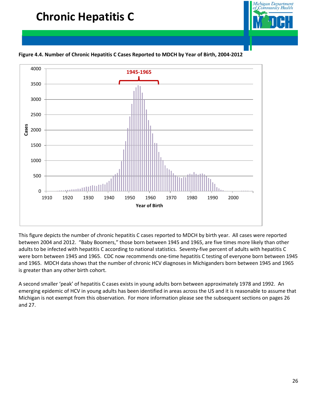

**Figure 4.4. Number of Chronic Hepatitis C Cases Reported to MDCH by Year of Birth, 2004-2012**



This figure depicts the number of chronic hepatitis C cases reported to MDCH by birth year. All cases were reported between 2004 and 2012. "Baby Boomers," those born between 1945 and 1965, are five times more likely than other adults to be infected with hepatitis C according to national statistics. Seventy-five percent of adults with hepatitis C were born between 1945 and 1965. CDC now recommends one-time hepatitis C testing of everyone born between 1945 and 1965. MDCH data shows that the number of chronic HCV diagnoses in Michiganders born between 1945 and 1965 is greater than any other birth cohort.

A second smaller 'peak' of hepatitis C cases exists in young adults born between approximately 1978 and 1992. An emerging epidemic of HCV in young adults has been identified in areas across the US and it is reasonable to assume that Michigan is not exempt from this observation. For more information please see the subsequent sections on pages 26 and 27.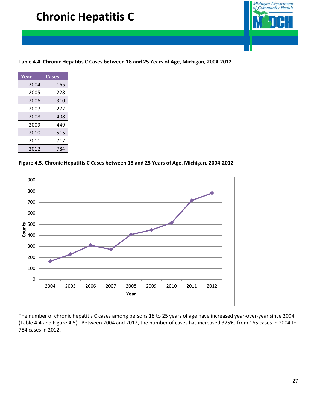

**Table 4.4. Chronic Hepatitis C Cases between 18 and 25 Years of Age, Michigan, 2004-2012**

| Year | Cases |
|------|-------|
| 2004 | 165   |
| 2005 | 228   |
| 2006 | 310   |
| 2007 | 272   |
| 2008 | 408   |
| 2009 | 449   |
| 2010 | 515   |
| 2011 | 717   |
| 2012 | 784   |

**Figure 4.5. Chronic Hepatitis C Cases between 18 and 25 Years of Age, Michigan, 2004-2012**



The number of chronic hepatitis C cases among persons 18 to 25 years of age have increased year-over-year since 2004 (Table 4.4 and Figure 4.5). Between 2004 and 2012, the number of cases has increased 375%, from 165 cases in 2004 to 784 cases in 2012.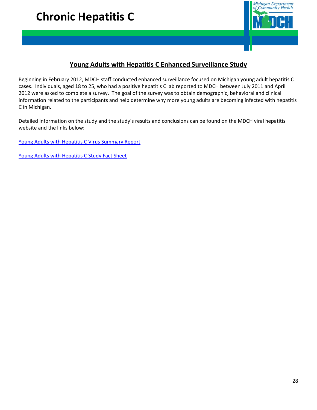

### **Young Adults with Hepatitis C Enhanced Surveillance Study**

Beginning in February 2012, MDCH staff conducted enhanced surveillance focused on Michigan young adult hepatitis C cases. Individuals, aged 18 to 25, who had a positive hepatitis C lab reported to MDCH between July 2011 and April 2012 were asked to complete a survey. The goal of the survey was to obtain demographic, behavioral and clinical information related to the participants and help determine why more young adults are becoming infected with hepatitis C in Michigan.

Detailed information on the study and the study's results and conclusions can be found on the MDCH viral hepatitis website and the links below:

[Young Adults with Hepatitis C Virus Summary Report](http://www.michigan.gov/documents/mdch/Young_Adult_Summary_Report_v6_412759_7.pdf)

[Young Adults with Hepatitis C Study Fact Sheet](http://www.michigan.gov/documents/mdch/Young_Adult_Fact_Sheet_2012_v5_412974_7.pdf)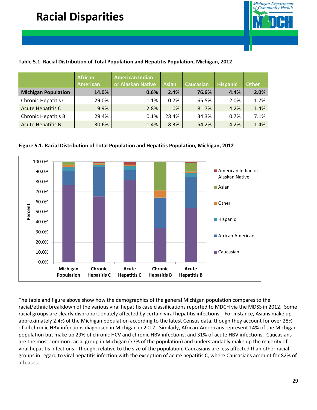

### **Table 5.1. Racial Distribution of Total Population and Hepatitis Population, Michigan, 2012**

|                            | <b>African</b><br><b>American</b> | <b>American Indian</b><br>or Alaskan Native | <b>Asian</b> | Caucasian | <b>Hispanic</b> | <b>Other</b> |
|----------------------------|-----------------------------------|---------------------------------------------|--------------|-----------|-----------------|--------------|
| <b>Michigan Population</b> | 14.0%                             | 0.6%                                        | 2.4%         | 76.6%     | 4.4%            | 2.0%         |
| Chronic Hepatitis C        | 29.0%                             | 1.1%                                        | 0.7%         | 65.5%     | 2.0%            | 1.7%         |
| <b>Acute Hepatitis C</b>   | 9.9%                              | 2.8%                                        | 0%           | 81.7%     | 4.2%            | 1.4%         |
| <b>Chronic Hepatitis B</b> | 29.4%                             | 0.1%                                        | 28.4%        | 34.3%     | 0.7%            | 7.1%         |
| <b>Acute Hepatitis B</b>   | 30.6%                             | 1.4%                                        | 8.3%         | 54.2%     | 4.2%            | 1.4%         |





The table and figure above show how the demographics of the general Michigan population compares to the racial/ethnic breakdown of the various viral hepatitis case classifications reported to MDCH via the MDSS in 2012. Some racial groups are clearly disproportionately affected by certain viral hepatitis infections. For instance, Asians make up approximately 2.4% of the Michigan population according to the latest Census data, though they account for over 28% of all chronic HBV infections diagnosed in Michigan in 2012. Similarly, African-Americans represent 14% of the Michigan population but make up 29% of chronic HCV and chronic HBV infections, and 31% of acute HBV infections. Caucasians are the most common racial group in Michigan (77% of the population) and understandably make up the majority of viral hepatitis infections. Though, relative to the size of the population, Caucasians are less affected than other racial groups in regard to viral hepatitis infection with the exception of acute hepatitis C, where Caucasians account for 82% of all cases.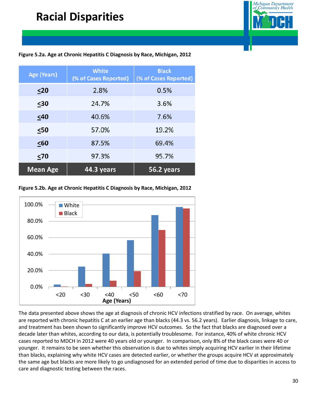

### **Figure 5.2a. Age at Chronic Hepatitis C Diagnosis by Race, Michigan, 2012**

| Age (Years)     | <b>White</b><br>(% of Cases Reported) | <b>Black</b><br>(% of Cases Reported) |
|-----------------|---------------------------------------|---------------------------------------|
| $\leq$ 20       | 2.8%                                  | 0.5%                                  |
| $\leq 30$       | 24.7%                                 | 3.6%                                  |
| $\leq 40$       | 40.6%                                 | 7.6%                                  |
| $50$            | 57.0%                                 | 19.2%                                 |
| $\leq 60$       | 87.5%                                 | 69.4%                                 |
| $\leq 70$       | 97.3%                                 | 95.7%                                 |
| <b>Mean Age</b> | 44.3 years                            | 56.2 years                            |

**Figure 5.2b. Age at Chronic Hepatitis C Diagnosis by Race, Michigan, 2012**



The data presented above shows the age at diagnosis of chronic HCV infections stratified by race. On average, whites are reported with chronic hepatitis C at an earlier age than blacks (44.3 vs. 56.2 years). Earlier diagnosis, linkage to care, and treatment has been shown to significantly improve HCV outcomes. So the fact that blacks are diagnosed over a decade later than whites, according to our data, is potentially troublesome. For instance, 40% of white chronic HCV cases reported to MDCH in 2012 were 40 years old or younger. In comparison, only 8% of the black cases were 40 or younger. It remains to be seen whether this observation is due to whites simply acquiring HCV earlier in their lifetime than blacks, explaining why white HCV cases are detected earlier, or whether the groups acquire HCV at approximately the same age but blacks are more likely to go undiagnosed for an extended period of time due to disparities in access to care and diagnostic testing between the races.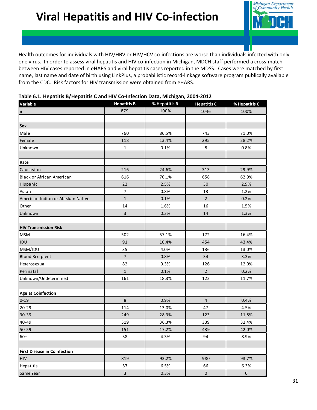

Health outcomes for individuals with HIV/HBV or HIV/HCV co-infections are worse than individuals infected with only one virus. In order to assess viral hepatitis and HIV co-infection in Michigan, MDCH staff performed a cross-match between HIV cases reported in eHARS and viral hepatitis cases reported in the MDSS. Cases were matched by first name, last name and date of birth using LinkPlus, a probabilistic record-linkage software program publically available from the CDC. Risk factors for HIV transmission were obtained from eHARS.

| . .<br>Variable                     | <b>Hepatitis B</b>      | % Hepatitis B | <b>Hepatitis C</b> | % Hepatitis C |
|-------------------------------------|-------------------------|---------------|--------------------|---------------|
| n                                   | 879                     | 100%          | 1046               | 100%          |
|                                     |                         |               |                    |               |
| <b>Sex</b>                          |                         |               |                    |               |
| Male                                | 760                     | 86.5%         | 743                | 71.0%         |
| Female                              | 118                     | 13.4%         | 295                | 28.2%         |
| Unknown                             | $\mathbf 1$             | 0.1%          | 8                  | 0.8%          |
|                                     |                         |               |                    |               |
| Race                                |                         |               |                    |               |
| Caucasian                           | 216                     | 24.6%         | 313                | 29.9%         |
| Black or African American           | 616                     | 70.1%         | 658                | 62.9%         |
| Hispanic                            | 22                      | 2.5%          | 30                 | 2.9%          |
| Asian                               | $\overline{7}$          | 0.8%          | 13                 | 1.2%          |
| American Indian or Alaskan Native   | $\mathbf{1}$            | 0.1%          | $\overline{2}$     | 0.2%          |
| Other                               | 14                      | 1.6%          | 16                 | 1.5%          |
| Unknown                             | $\overline{3}$          | 0.3%          | 14                 | 1.3%          |
|                                     |                         |               |                    |               |
| <b>HIV Transmission Risk</b>        |                         |               |                    |               |
| <b>MSM</b>                          | 502                     | 57.1%         | 172                | 16.4%         |
| IDU                                 | 91                      | 10.4%         | 454                | 43.4%         |
| MSM/IDU                             | 35                      | 4.0%          | 136                | 13.0%         |
| <b>Blood Recipient</b>              | $\overline{7}$          | 0.8%          | 34                 | 3.3%          |
| Heterosexual                        | 82                      | 9.3%          | 126                | 12.0%         |
| Perinatal                           | $\mathbf{1}$            | 0.1%          | $\overline{2}$     | 0.2%          |
| Unknown/Undetermined                | 161                     | 18.3%         | 122                | 11.7%         |
|                                     |                         |               |                    |               |
| <b>Age at Coinfection</b>           |                         |               |                    |               |
| $0 - 19$                            | 8                       | 0.9%          | $\overline{4}$     | 0.4%          |
| $20 - 29$                           | 114                     | 13.0%         | 47                 | 4.5%          |
| 30-39                               | 249                     | 28.3%         | 123                | 11.8%         |
| 40-49                               | 319                     | 36.3%         | 339                | 32.4%         |
| 50-59                               | 151                     | 17.2%         | 439                | 42.0%         |
| $60+$                               | 38                      | 4.3%          | 94                 | 8.9%          |
|                                     |                         |               |                    |               |
| <b>First Disease in Coinfection</b> |                         |               |                    |               |
| <b>HIV</b>                          | 819                     | 93.2%         | 980                | 93.7%         |
| Hepatitis                           | 57                      | 6.5%          | 66                 | 6.3%          |
| Same Year                           | $\overline{\mathbf{3}}$ | 0.3%          | $\pmb{0}$          | $\pmb{0}$     |

#### **Table 6.1. Hepatitis B/Hepatitis C and HIV Co-Infection Data, Michigan, 2004-2012**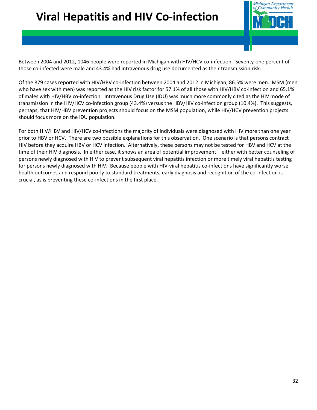# **Viral Hepatitis and HIV Co-infection**



Between 2004 and 2012, 1046 people were reported in Michigan with HIV/HCV co-infection. Seventy-one percent of those co-infected were male and 43.4% had intravenous drug use documented as their transmission risk.

Of the 879 cases reported with HIV/HBV co-infection between 2004 and 2012 in Michigan, 86.5% were men. MSM (men who have sex with men) was reported as the HIV risk factor for 57.1% of all those with HIV/HBV co-infection and 65.1% of males with HIV/HBV co-infection. Intravenous Drug Use (IDU) was much more commonly cited as the HIV mode of transmission in the HIV/HCV co-infection group (43.4%) versus the HBV/HIV co-infection group (10.4%). This suggests, perhaps, that HIV/HBV prevention projects should focus on the MSM population, while HIV/HCV prevention projects should focus more on the IDU population.

For both HIV/HBV and HIV/HCV co-infections the majority of individuals were diagnosed with HIV more than one year prior to HBV or HCV. There are two possible explanations for this observation. One scenario is that persons contract HIV before they acquire HBV or HCV infection. Alternatively, these persons may not be tested for HBV and HCV at the time of their HIV diagnosis. In either case, it shows an area of potential improvement – either with better counseling of persons newly diagnosed with HIV to prevent subsequent viral hepatitis infection or more timely viral hepatitis testing for persons newly diagnosed with HIV. Because people with HIV-viral hepatitis co-infections have significantly worse health outcomes and respond poorly to standard treatments, early diagnosis and recognition of the co-infection is crucial, as is preventing these co-infections in the first place.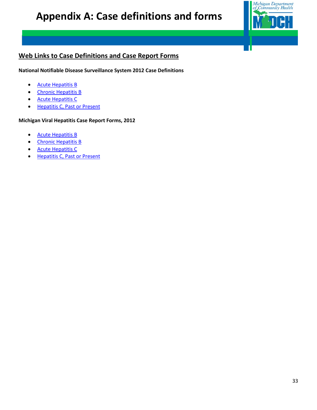

## **Web Links to Case Definitions and Case Report Forms**

**National Notifiable Disease Surveillance System 2012 Case Definitions**

- [Acute Hepatitis B](http://wwwn.cdc.gov/NNDSS/script/casedef.aspx?CondYrID=711&DatePub=1/1/2012%2012:00:00%20AM)
- [Chronic Hepatitis B](http://wwwn.cdc.gov/NNDSS/script/casedef.aspx?CondYrID=715&DatePub=1/1/2012%2012:00:00%20AM)
- [Acute Hepatitis C](http://wwwn.cdc.gov/NNDSS/script/casedef.aspx?CondYrID=723&DatePub=1/1/2012%2012:00:00%20AM)
- [Hepatitis C, Past or Present](http://wwwn.cdc.gov/NNDSS/script/casedef.aspx?CondYrID=728&DatePub=1/1/2012%2012:00:00%20AM)

**Michigan Viral Hepatitis Case Report Forms, 2012**

- [Acute Hepatitis B](http://www.michigan.gov/documents/mdch/HepBAcuteCaseReport.do_ncd_431054_7.pdf)
- [Chronic Hepatitis B](http://www.michigan.gov/documents/mdch/HepBChronicCaseReport.do_ncd_431056_7.pdf)
- [Acute Hepatitis C](http://www.michigan.gov/documents/mdch/Acute_Hepatitis_C_394913_7.pdf)
- [Hepatitis C, Past or Present](http://www.michigan.gov/documents/mdch/Hepatitis_C_Chronic_394917_7.pdf)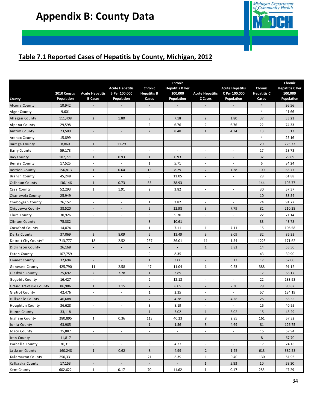

## **Table 7.1 Reported Cases of Hepatitis by County, Michigan, 2012**

|                        | 2010 Census | <b>Acute Hepatitis</b>   | <b>Acute Hepatitis</b><br><b>B</b> Per 100,000 | Chronic<br><b>Hepatitis B</b> | Chronic<br><b>Hepatitis B Per</b><br>100,000 | <b>Acute Hepatitis</b>   | <b>Acute Hepatitis</b><br>C Per 100,000 | Chronic<br><b>Hepatitis C</b> | Chronic<br><b>Hepatitis C Per</b><br>100,000 |
|------------------------|-------------|--------------------------|------------------------------------------------|-------------------------------|----------------------------------------------|--------------------------|-----------------------------------------|-------------------------------|----------------------------------------------|
| County                 | Population  | <b>B</b> Cases           | Population                                     | Cases                         | Population                                   | C Cases                  | Population                              | Cases                         | Population                                   |
| Alcona County          | 10,942      | $\overline{\phantom{a}}$ |                                                |                               |                                              |                          |                                         | 4                             | 36.56                                        |
| Alger County           | 9,601       | $\overline{\phantom{a}}$ | $\overline{\phantom{a}}$                       | $\sim$                        | $\sim$                                       | $\overline{\phantom{a}}$ | $\sim$                                  | 4                             | 41.66                                        |
| Allegan County         | 111,408     | $\overline{2}$           | 1.80                                           | 8                             | 7.18                                         | $\overline{2}$           | 1.80                                    | 37                            | 33.21                                        |
| Alpena County          | 29,598      | ÷,                       | ä,                                             | $\overline{2}$                | 6.76                                         | $\overline{2}$           | 6.76                                    | 22                            | 74.33                                        |
| Antrim County          | 23,580      |                          | $\overline{a}$                                 | $\mathbf 2$                   | 8.48                                         | $\mathbf{1}$             | 4.24                                    | 13                            | 55.13                                        |
| Arenac County          | 15,899      | $\overline{\phantom{a}}$ | $\overline{\phantom{a}}$                       |                               | $\blacksquare$                               | ٠                        | $\overline{\phantom{a}}$                | 4                             | 25.16                                        |
| Baraga County          | 8,860       | $\mathbf{1}$             | 11.29                                          |                               | $\overline{\phantom{a}}$                     |                          | $\overline{\phantom{a}}$                | 20                            | 225.73                                       |
| Barry County           | 59,173      | $\overline{\phantom{a}}$ | $\overline{\phantom{a}}$                       | $\overline{\phantom{a}}$      | $\overline{\phantom{a}}$                     | $\overline{\phantom{a}}$ | $\overline{\phantom{a}}$                | 17                            | 28.73                                        |
| <b>Bay County</b>      | 107,771     | $\mathbf{1}$             | 0.93                                           | $\mathbf{1}$                  | 0.93                                         | $\overline{\phantom{a}}$ | $\overline{\phantom{a}}$                | 32                            | 29.69                                        |
| <b>Benzie County</b>   | 17,525      | ÷,                       | $\overline{\phantom{a}}$                       | 1                             | 5.71                                         | L,                       | $\overline{\phantom{a}}$                | 6                             | 34.24                                        |
| <b>Berrien County</b>  | 156,813     | $\mathbf{1}$             | 0.64                                           | 13                            | 8.29                                         | $\overline{2}$           | 1.28                                    | 100                           | 63.77                                        |
| <b>Branch County</b>   | 45,248      | $\sim$                   |                                                | 5                             | 11.05                                        | ٠                        | $\sim$                                  | 28                            | 61.88                                        |
| Calhoun County         | 136,146     | $\mathbf{1}$             | 0.73                                           | 53                            | 38.93                                        |                          |                                         | 144                           | 105.77                                       |
| Cass County            | 52,293      | 1                        | 1.91                                           | $\overline{2}$                | 3.82                                         | $\overline{\phantom{a}}$ | ٠                                       | 30                            | 57.37                                        |
| Charlevoix County      | 25,949      | $\overline{\phantom{a}}$ | $\overline{\phantom{a}}$                       |                               | $\overline{\phantom{a}}$                     | $\overline{\phantom{a}}$ | $\overline{\phantom{a}}$                | 10                            | 38.54                                        |
| Cheboygan County       | 26,152      | $\overline{\phantom{a}}$ | $\overline{a}$                                 | $1\,$                         | 3.82                                         | ٠                        | $\overline{\phantom{a}}$                | 24                            | 91.77                                        |
| Chippewa County        | 38,520      |                          |                                                | 5                             | 12.98                                        | 3                        | 7.79                                    | 81                            | 210.28                                       |
| Clare County           | 30,926      | ٠                        | $\overline{a}$                                 | 3                             | 9.70                                         | $\overline{\phantom{a}}$ | $\overline{\phantom{a}}$                | 22                            | 71.14                                        |
| Clinton County         | 75,382      |                          | $\overline{a}$                                 | 8                             | 10.61                                        | -                        |                                         | 33                            | 43.78                                        |
| Crawford County        | 14,074      | $\overline{\phantom{a}}$ | $\overline{\phantom{a}}$                       | $\mathbf 1$                   | 7.11                                         | $\mathbf{1}$             | 7.11                                    | 15                            | 106.58                                       |
| Delta County           | 37,069      | 3                        | 8.09                                           | 5                             | 13.49                                        | 3                        | 8.09                                    | 32                            | 86.33                                        |
| Detroit City County*   | 713,777     | 18                       | 2.52                                           | 257                           | 36.01                                        | 11                       | 1.54                                    | 1225                          | 171.62                                       |
| Dickinson County       | 26,168      | $\overline{\phantom{a}}$ | ÷,                                             |                               |                                              | $\mathbf{1}$             | 3.82                                    | 14                            | 53.50                                        |
| Eaton County           | 107,759     | $\overline{\phantom{a}}$ | ÷,                                             | 9                             | 8.35                                         | $\overline{\phantom{a}}$ | $\overline{\phantom{a}}$                | 43                            | 39.90                                        |
| <b>Emmet County</b>    | 32,694      | $\overline{\phantom{a}}$ | $\overline{\phantom{a}}$                       | $\mathbf{1}$                  | 3.06                                         | $\overline{2}$           | 6.12                                    | 17                            | 52.00                                        |
| Genesee County         | 425,790     | 11                       | 2.58                                           | 47                            | 11.04                                        | $\mathbf{1}$             | 0.23                                    | 388                           | 91.12                                        |
| Gladwin County         | 25,692      | $\overline{2}$           | 7.78                                           | $\mathbf 1$                   | 3.89                                         | $\overline{\phantom{a}}$ | $\overline{\phantom{a}}$                | 17                            | 66.17                                        |
| Gogebic County         | 16,427      | $\overline{\phantom{a}}$ | $\overline{\phantom{a}}$                       | $\overline{2}$                | 12.18                                        | ٠                        | $\overline{\phantom{a}}$                | 22                            | 133.93                                       |
| Grand Traverse County  | 86,986      | $\mathbf{1}$             | 1.15                                           | $\overline{7}$                | 8.05                                         | $\overline{2}$           | 2.30                                    | 79                            | 90.82                                        |
| <b>Gratiot County</b>  | 42,476      |                          | ÷                                              | 1                             | 2.35                                         |                          |                                         | 57                            | 134.19                                       |
| Hillsdale County       | 46,688      |                          | ٠                                              | $\overline{2}$                | 4.28                                         | $\overline{2}$           | 4.28                                    | 25                            | 53.55                                        |
| <b>Houghton County</b> | 36,628      |                          | ÷                                              | 3                             | 8.19                                         | $\overline{\phantom{a}}$ |                                         | 15                            | 40.95                                        |
| Huron County           | 33,118      | $\overline{\phantom{a}}$ | $\overline{\phantom{a}}$                       | $\mathbf{1}$                  | 3.02                                         | $\mathbf{1}$             | 3.02                                    | 15                            | 45.29                                        |
| Ingham County          | 280,895     | $\mathbf{1}$             | 0.36                                           | 113                           | 40.23                                        | 8                        | 2.85                                    | 161                           | 57.32                                        |
| Ionia County           | 63,905      | $\overline{\phantom{a}}$ | $\overline{\phantom{a}}$                       | $\mathbf{1}$                  | 1.56                                         | 3                        | 4.69                                    | 81                            | 126.75                                       |
| <b>Iosco County</b>    | 25,887      | $\overline{\phantom{a}}$ | $\overline{\phantom{a}}$                       | $\overline{\phantom{a}}$      | $\overline{\phantom{a}}$                     | ä,                       | $\blacksquare$                          | 15                            | 57.94                                        |
| Iron County            | 11,817      | $\overline{\phantom{a}}$ | $\overline{\phantom{a}}$                       | $\overline{\phantom{a}}$      | $\sim$                                       | ÷,                       | $\overline{\phantom{a}}$                | 8                             | 67.70                                        |
| Isabella County        | 70,311      | $\overline{\phantom{a}}$ | $\overline{\phantom{a}}$                       | 3                             | 4.27                                         | $\overline{\phantom{a}}$ | $\overline{\phantom{a}}$                | 17                            | 24.18                                        |
| Jackson County         | 160,248     | $\mathbf{1}$             | 0.62                                           | 8                             | 4.99                                         | $\overline{2}$           | 1.25                                    | 613                           | 382.53                                       |
| Kalamazoo County       | 250,331     | $\overline{\phantom{a}}$ | $\sim$                                         | 21                            | 8.39                                         | $\mathbf{1}$             | 0.40                                    | 130                           | 51.93                                        |
| Kalkaska County        | 17,153      | $\overline{\phantom{a}}$ | $\overline{\phantom{a}}$                       | $\overline{\phantom{a}}$      | $\overline{\phantom{a}}$                     | $\mathbf{1}$             | 5.83                                    | 10                            | 58.30                                        |
| Kent County            | 602,622     | $\mathbf{1}$             | 0.17                                           | 70                            | 11.62                                        | $\mathbf{1}$             | 0.17                                    | 285                           | 47.29                                        |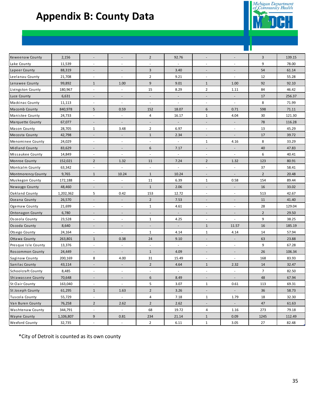## **Appendix B: County Data**



| Keweenaw County         | 2,156     |                          | $\overline{\phantom{a}}$ | $\overline{2}$           | 92.76                    |                          |                          | 3              | 139.15 |
|-------------------------|-----------|--------------------------|--------------------------|--------------------------|--------------------------|--------------------------|--------------------------|----------------|--------|
| Lake County             | 11,539    | ÷,                       | ٠                        |                          |                          |                          | ÷,                       | 9              | 78.00  |
| Lapeer County           | 88,319    | $\overline{\phantom{a}}$ | $\overline{\phantom{a}}$ | $\overline{\mathbf{3}}$  | 3.40                     | $\overline{\phantom{a}}$ | $\overline{\phantom{a}}$ | 54             | 61.14  |
| Leelanau County         | 21,708    | $\overline{\phantom{a}}$ | $\overline{\phantom{a}}$ | $\overline{2}$           | 9.21                     | $\overline{\phantom{a}}$ | $\sim$                   | 12             | 55.28  |
| Lenawee County          | 99,892    | $\mathbf{1}$             | 1.00                     | 9                        | 9.01                     | $\mathbf{1}$             | 1.00                     | 92             | 92.10  |
| Livingston County       | 180,967   | $\overline{\phantom{a}}$ | $\overline{\phantom{a}}$ | 15                       | 8.29                     | $\overline{2}$           | 1.11                     | 84             | 46.42  |
| Luce County             | 6,631     | $\overline{a}$           | $\overline{\phantom{a}}$ | $\overline{\phantom{a}}$ | $\overline{\phantom{a}}$ |                          | $\overline{\phantom{a}}$ | 17             | 256.37 |
| Mackinac County         | 11,113    | ä,                       |                          |                          | $\overline{\phantom{m}}$ |                          |                          | 8              | 71.99  |
| Macomb County           | 840,978   | 5                        | 0.59                     | 152                      | 18.07                    | 6                        | 0.71                     | 598            | 71.11  |
| Manistee County         | 24,733    | $\overline{\phantom{a}}$ | $\overline{\phantom{a}}$ | 4                        | 16.17                    | $\mathbf{1}$             | 4.04                     | 30             | 121.30 |
| Marquette County        | 67,077    | $\overline{\phantom{a}}$ | $\overline{\phantom{a}}$ | $\overline{\phantom{a}}$ | $\overline{\phantom{a}}$ | $\overline{\phantom{a}}$ | $\sim$                   | 78             | 116.28 |
| Mason County            | 28,705    | $\mathbf{1}$             | 3.48                     | $\overline{2}$           | 6.97                     |                          | ä,                       | 13             | 45.29  |
| Mecosta County          | 42,798    | ÷,                       | $\overline{\phantom{a}}$ | $\mathbf{1}$             | 2.34                     |                          |                          | 17             | 39.72  |
| Menominee County        | 24,029    | $\overline{\phantom{a}}$ | $\overline{\phantom{a}}$ | $\sim$                   | $\overline{\phantom{a}}$ | 1                        | 4.16                     | 8              | 33.29  |
| Midland County          | 83,629    | $\overline{\phantom{a}}$ | $\overline{\phantom{a}}$ | 6                        | 7.17                     | $\overline{\phantom{a}}$ | $\overline{\phantom{a}}$ | 40             | 47.83  |
| Missaukee County        | 14,849    | $\overline{\phantom{a}}$ | $\sim$                   | $\overline{\phantom{a}}$ | $\sim$                   | $\sim$                   | $\sim$                   | 6              | 40.41  |
| Monroe County           | 152,021   | $\overline{2}$           | 1.32                     | 11                       | 7.24                     | $\overline{2}$           | 1.32                     | 123            | 80.91  |
| Montcalm County         | 63,342    | ä,                       | $\overline{\phantom{a}}$ | $\sim$                   | $\overline{\phantom{a}}$ | $\overline{\phantom{a}}$ | ä,                       | 37             | 58.41  |
| Montmorency County      | 9,765     | $\mathbf{1}$             | 10.24                    | $\mathbf{1}$             | 10.24                    | $\sim$                   | $\sim$                   | $2^{\circ}$    | 20.48  |
| Muskegon County         | 172,188   | $\overline{\phantom{a}}$ | $\overline{\phantom{a}}$ | 11                       | 6.39                     | $\mathbf{1}$             | 0.58                     | 154            | 89.44  |
| Newaygo County          | 48,460    |                          | $\overline{\phantom{a}}$ | $\mathbf{1}$             | 2.06                     | $\overline{\phantom{a}}$ | $\overline{\phantom{a}}$ | 16             | 33.02  |
| Oakland County          | 1,202,362 | 5                        | 0.42                     | 153                      | 12.72                    | $\sim$                   | $\sim$                   | 513            | 42.67  |
| Oceana County           | 26,570    | $\overline{\phantom{a}}$ | $\overline{\phantom{a}}$ | $\overline{2}$           | 7.53                     | $\sim$                   | $\overline{\phantom{a}}$ | 11             | 41.40  |
| Ogemaw County           | 21,699    | $\overline{\phantom{a}}$ | $\overline{\phantom{a}}$ | $\mathbf{1}$             | 4.61                     | ×.                       | $\overline{\phantom{a}}$ | 28             | 129.04 |
| <b>Ontonagon County</b> | 6,780     | $\blacksquare$           | $\overline{\phantom{a}}$ | ÷                        | $\overline{\phantom{a}}$ |                          | $\overline{a}$           | $\overline{2}$ | 29.50  |
| Osceola County          | 23,528    | $\overline{\phantom{a}}$ | $\overline{\phantom{a}}$ | $\mathbf{1}$             | 4.25                     | $\overline{\phantom{a}}$ | $\frac{1}{2}$            | 9              | 38.25  |
| Oscoda County           | 8,640     | $\overline{\phantom{a}}$ | $\overline{\phantom{a}}$ | $\overline{\phantom{a}}$ | $\sim$                   | $\mathbf{1}$             | 11.57                    | 16             | 185.19 |
| Otsego County           | 24,164    | $\overline{\phantom{a}}$ | $\overline{\phantom{a}}$ | $\mathbf{1}$             | 4.14                     | $\mathbf{1}$             | 4.14                     | 14             | 57.94  |
| Ottawa County           | 263,801   | $\mathbf{1}$             | 0.38                     | 24                       | 9.10                     | $\sim$                   | $\overline{\phantom{a}}$ | 63             | 23.88  |
| Presque Isle County     | 13,376    | ä,                       | ÷,                       | $\sim$                   | $\overline{\phantom{a}}$ | ×.                       | ä,                       | 9              | 67.28  |
| <b>Roscommon County</b> | 24,449    | $\overline{a}$           | $\sim$                   | $\mathbf{1}$             | 4.09                     |                          | $\overline{a}$           | 26             | 106.34 |
| Saginaw County          | 200,169   | 8                        | 4.00                     | 31                       | 15.49                    |                          |                          | 168            | 83.93  |
| Sanilac County          | 43,114    | $\overline{\phantom{a}}$ | $\overline{\phantom{a}}$ | $\overline{2}$           | 4.64                     | $\mathbf{1}$             | 2.32                     | 14             | 32.47  |
| Schoolcraft County      | 8,485     | ٠                        | $\sim$                   | ×.                       | ٠                        | $\sim$                   | $\sim$                   | $\overline{7}$ | 82.50  |
| Shiawassee County       | 70,648    | $\overline{\phantom{a}}$ | $\overline{\phantom{a}}$ | 6                        | 8.49                     | $\overline{\phantom{a}}$ | $\overline{a}$           | 48             | 67.94  |
| <b>St Clair County</b>  | 163,040   | $\overline{\phantom{a}}$ | $\overline{\phantom{a}}$ | 5                        | 3.07                     | 1                        | 0.61                     | 113            | 69.31  |
| St Joseph County        | 61,295    | $\mathbf{1}$             | 1.63                     | $\overline{2}$           | 3.26                     | $\overline{\phantom{a}}$ | $\overline{\phantom{a}}$ | 36             | 58.73  |
| Tuscola County          | 55,729    | $\overline{\phantom{a}}$ | $\sim$                   | 4                        | 7.18                     | $\mathbf{1}$             | 1.79                     | 18             | 32.30  |
| Van Buren County        | 76,258    | $\overline{2}$           | 2.62                     | $\overline{2}$           | 2.62                     | $\sim$                   | $\sim$                   | 47             | 61.63  |
| Washtenaw County        | 344,791   | $\overline{\phantom{a}}$ | $\sim$                   | 68                       | 19.72                    | $\overline{4}$           | 1.16                     | 273            | 79.18  |
| Wayne County            | 1,106,807 | 9                        | 0.81                     | 234                      | 21.14                    | $\mathbf{1}$             | 0.09                     | 1245           | 112.49 |
| <b>Wexford County</b>   | 32,735    | $\blacksquare$           | $\overline{\phantom{a}}$ | $\overline{2}$           | 6.11                     | $\mathbf{1}$             | 3.05                     | 27             | 82.48  |

\*City of Detroit is counted as its own county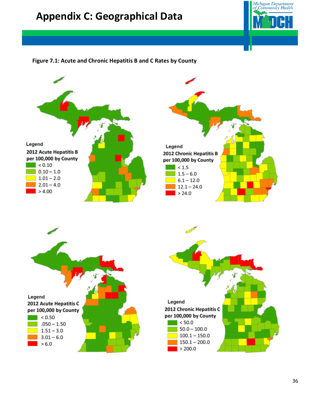## **Appendix C: Geographical Data**



### **Figure 7.1: Acute and Chronic Hepatitis B and C Rates by County**

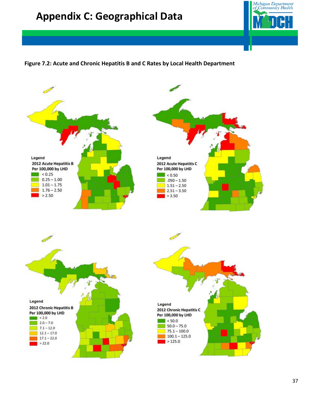## **Appendix C: Geographical Data**



### **Figure 7.2: Acute and Chronic Hepatitis B and C Rates by Local Health Department**